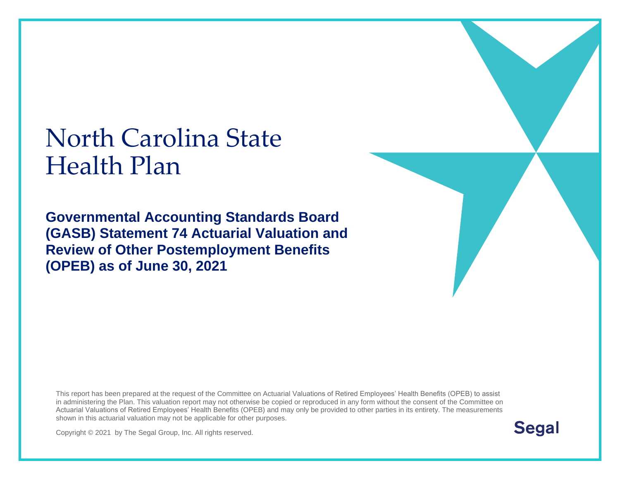# North Carolina State Health Plan

**Governmental Accounting Standards Board (GASB) Statement 74 Actuarial Valuation and Review of Other Postemployment Benefits (OPEB) as of June 30, 2021**

This report has been prepared at the request of the Committee on Actuarial Valuations of Retired Employees' Health Benefits (OPEB) to assist in administering the Plan. This valuation report may not otherwise be copied or reproduced in any form without the consent of the Committee on Actuarial Valuations of Retired Employees' Health Benefits (OPEB) and may only be provided to other parties in its entirety. The measurements shown in this actuarial valuation may not be applicable for other purposes.

Copyright © 2021 by The Segal Group, Inc. All rights reserved.



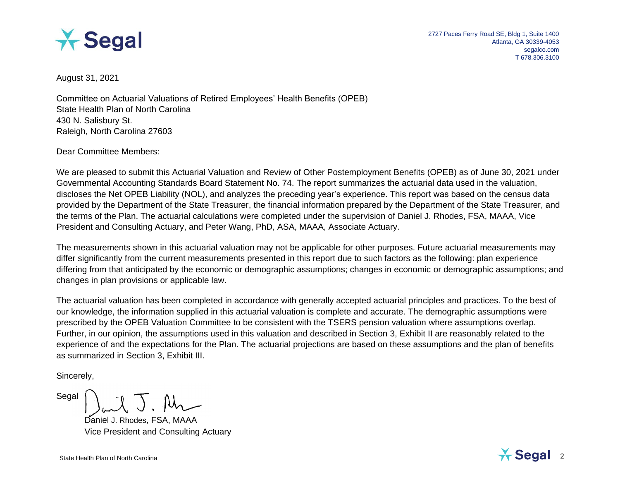

August 31, 2021

Committee on Actuarial Valuations of Retired Employees' Health Benefits (OPEB) State Health Plan of North Carolina 430 N. Salisbury St. Raleigh, North Carolina 27603

Dear Committee Members:

We are pleased to submit this Actuarial Valuation and Review of Other Postemployment Benefits (OPEB) as of June 30, 2021 under Governmental Accounting Standards Board Statement No. 74. The report summarizes the actuarial data used in the valuation, discloses the Net OPEB Liability (NOL), and analyzes the preceding year's experience. This report was based on the census data provided by the Department of the State Treasurer, the financial information prepared by the Department of the State Treasurer, and the terms of the Plan. The actuarial calculations were completed under the supervision of Daniel J. Rhodes, FSA, MAAA, Vice President and Consulting Actuary, and Peter Wang, PhD, ASA, MAAA, Associate Actuary.

The measurements shown in this actuarial valuation may not be applicable for other purposes. Future actuarial measurements may differ significantly from the current measurements presented in this report due to such factors as the following: plan experience differing from that anticipated by the economic or demographic assumptions; changes in economic or demographic assumptions; and changes in plan provisions or applicable law.

The actuarial valuation has been completed in accordance with generally accepted actuarial principles and practices. To the best of our knowledge, the information supplied in this actuarial valuation is complete and accurate. The demographic assumptions were prescribed by the OPEB Valuation Committee to be consistent with the TSERS pension valuation where assumptions overlap. Further, in our opinion, the assumptions used in this valuation and described in Section 3, Exhibit II are reasonably related to the experience of and the expectations for the Plan. The actuarial projections are based on these assumptions and the plan of benefits as summarized in Section 3, Exhibit III.

Sincerely,

Segal

Daniel J. Rhodes, FSA, MAAA Vice President and Consulting Actuary

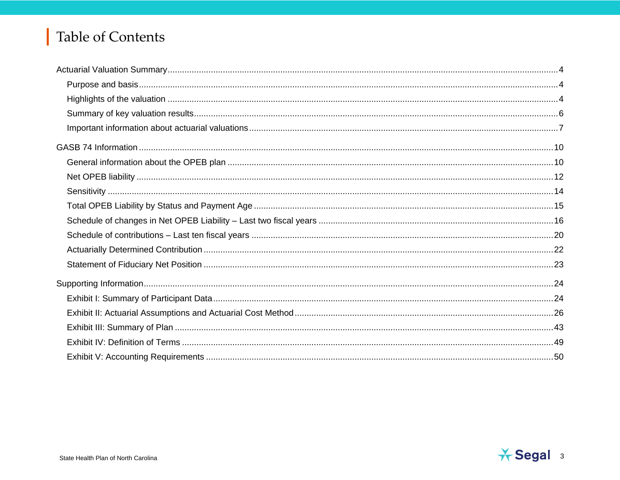## Table of Contents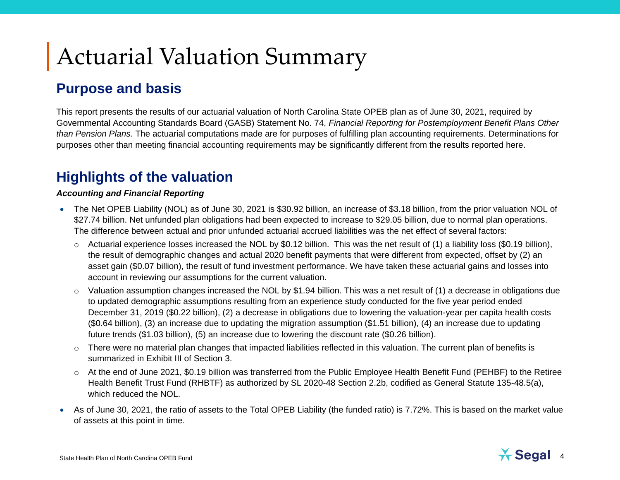# Actuarial Valuation Summary

### **Purpose and basis**

This report presents the results of our actuarial valuation of North Carolina State OPEB plan as of June 30, 2021, required by Governmental Accounting Standards Board (GASB) Statement No. 74, *Financial Reporting for Postemployment Benefit Plans Other than Pension Plans.* The actuarial computations made are for purposes of fulfilling plan accounting requirements. Determinations for purposes other than meeting financial accounting requirements may be significantly different from the results reported here.

### **Highlights of the valuation**

#### *Accounting and Financial Reporting*

- The Net OPEB Liability (NOL) as of June 30, 2021 is \$30.92 billion, an increase of \$3.18 billion, from the prior valuation NOL of \$27.74 billion. Net unfunded plan obligations had been expected to increase to \$29.05 billion, due to normal plan operations. The difference between actual and prior unfunded actuarial accrued liabilities was the net effect of several factors:
	- $\circ$  Actuarial experience losses increased the NOL by \$0.12 billion. This was the net result of (1) a liability loss (\$0.19 billion), the result of demographic changes and actual 2020 benefit payments that were different from expected, offset by (2) an asset gain (\$0.07 billion), the result of fund investment performance. We have taken these actuarial gains and losses into account in reviewing our assumptions for the current valuation.
	- $\circ$  Valuation assumption changes increased the NOL by \$1.94 billion. This was a net result of (1) a decrease in obligations due to updated demographic assumptions resulting from an experience study conducted for the five year period ended December 31, 2019 (\$0.22 billion), (2) a decrease in obligations due to lowering the valuation-year per capita health costs (\$0.64 billion), (3) an increase due to updating the migration assumption (\$1.51 billion), (4) an increase due to updating future trends (\$1.03 billion), (5) an increase due to lowering the discount rate (\$0.26 billion).
	- $\circ$  There were no material plan changes that impacted liabilities reflected in this valuation. The current plan of benefits is summarized in Exhibit III of Section 3.
	- $\circ$  At the end of June 2021, \$0.19 billion was transferred from the Public Employee Health Benefit Fund (PEHBF) to the Retiree Health Benefit Trust Fund (RHBTF) as authorized by SL 2020-48 Section 2.2b, codified as General Statute 135-48.5(a), which reduced the NOL.
- As of June 30, 2021, the ratio of assets to the Total OPEB Liability (the funded ratio) is 7.72%. This is based on the market value of assets at this point in time.

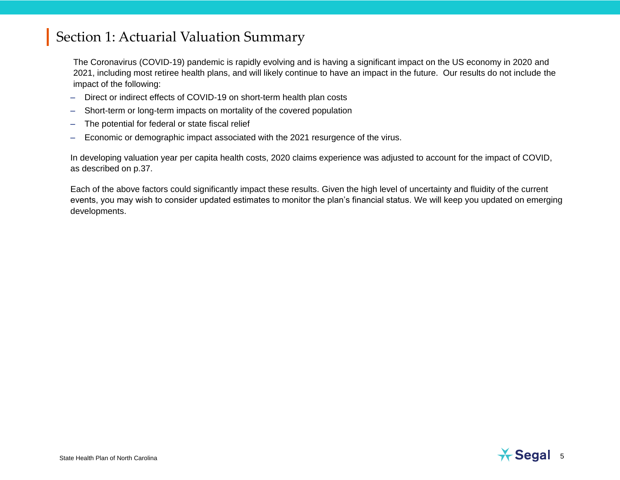The Coronavirus (COVID-19) pandemic is rapidly evolving and is having a significant impact on the US economy in 2020 and 2021, including most retiree health plans, and will likely continue to have an impact in the future. Our results do not include the impact of the following:

- Direct or indirect effects of COVID-19 on short-term health plan costs
- Short-term or long-term impacts on mortality of the covered population
- The potential for federal or state fiscal relief
- Economic or demographic impact associated with the 2021 resurgence of the virus.

In developing valuation year per capita health costs, 2020 claims experience was adjusted to account for the impact of COVID, as described on p.37.

Each of the above factors could significantly impact these results. Given the high level of uncertainty and fluidity of the current events, you may wish to consider updated estimates to monitor the plan's financial status. We will keep you updated on emerging developments.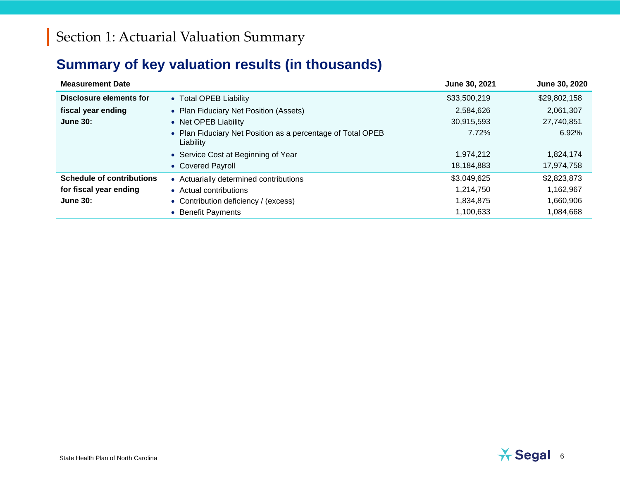## **Summary of key valuation results (in thousands)**

| <b>Measurement Date</b>          |                                                                          | June 30, 2021 | June 30, 2020 |
|----------------------------------|--------------------------------------------------------------------------|---------------|---------------|
| Disclosure elements for          | • Total OPEB Liability                                                   | \$33,500,219  | \$29,802,158  |
| fiscal year ending               | • Plan Fiduciary Net Position (Assets)                                   | 2,584,626     | 2,061,307     |
| <b>June 30:</b>                  | • Net OPEB Liability                                                     | 30,915,593    | 27,740,851    |
|                                  | • Plan Fiduciary Net Position as a percentage of Total OPEB<br>Liability | 7.72%         | 6.92%         |
|                                  | • Service Cost at Beginning of Year                                      | 1,974,212     | 1,824,174     |
|                                  | • Covered Payroll                                                        | 18,184,883    | 17,974,758    |
| <b>Schedule of contributions</b> | • Actuarially determined contributions                                   | \$3,049,625   | \$2,823,873   |
| for fiscal year ending           | • Actual contributions                                                   | 1,214,750     | 1,162,967     |
| <b>June 30:</b>                  | • Contribution deficiency / (excess)                                     | 1,834,875     | 1,660,906     |
|                                  | • Benefit Payments                                                       | 1,100,633     | 1,084,668     |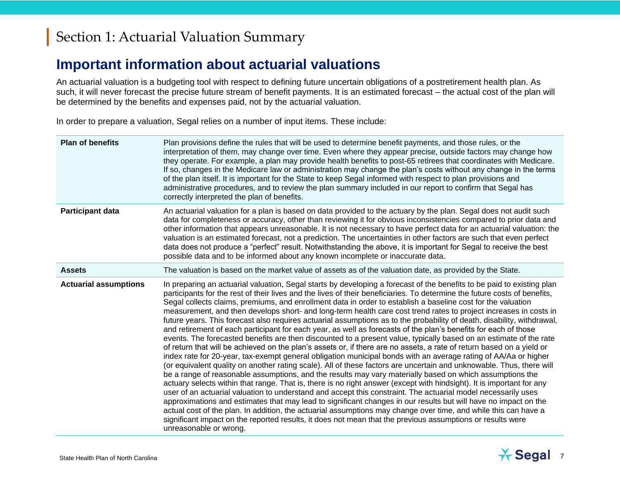### **Important information about actuarial valuations**

An actuarial valuation is a budgeting tool with respect to defining future uncertain obligations of a postretirement health plan. As such, it will never forecast the precise future stream of benefit payments. It is an estimated forecast – the actual cost of the plan will be determined by the benefits and expenses paid, not by the actuarial valuation.

In order to prepare a valuation, Segal relies on a number of input items. These include:

| <b>Plan of benefits</b>      | Plan provisions define the rules that will be used to determine benefit payments, and those rules, or the<br>interpretation of them, may change over time. Even where they appear precise, outside factors may change how<br>they operate. For example, a plan may provide health benefits to post-65 retirees that coordinates with Medicare.<br>If so, changes in the Medicare law or administration may change the plan's costs without any change in the terms<br>of the plan itself. It is important for the State to keep Segal informed with respect to plan provisions and<br>administrative procedures, and to review the plan summary included in our report to confirm that Segal has<br>correctly interpreted the plan of benefits.                                                                                                                                                                                                                                                                                                                                                                                                                                                                                                                                                                                                                                                                                                                                                                                                                                                                                                                                                                                                                                                                                                                                                                                                                      |
|------------------------------|----------------------------------------------------------------------------------------------------------------------------------------------------------------------------------------------------------------------------------------------------------------------------------------------------------------------------------------------------------------------------------------------------------------------------------------------------------------------------------------------------------------------------------------------------------------------------------------------------------------------------------------------------------------------------------------------------------------------------------------------------------------------------------------------------------------------------------------------------------------------------------------------------------------------------------------------------------------------------------------------------------------------------------------------------------------------------------------------------------------------------------------------------------------------------------------------------------------------------------------------------------------------------------------------------------------------------------------------------------------------------------------------------------------------------------------------------------------------------------------------------------------------------------------------------------------------------------------------------------------------------------------------------------------------------------------------------------------------------------------------------------------------------------------------------------------------------------------------------------------------------------------------------------------------------------------------------------------------|
| <b>Participant data</b>      | An actuarial valuation for a plan is based on data provided to the actuary by the plan. Segal does not audit such<br>data for completeness or accuracy, other than reviewing it for obvious inconsistencies compared to prior data and<br>other information that appears unreasonable. It is not necessary to have perfect data for an actuarial valuation: the<br>valuation is an estimated forecast, not a prediction. The uncertainties in other factors are such that even perfect<br>data does not produce a "perfect" result. Notwithstanding the above, it is important for Segal to receive the best<br>possible data and to be informed about any known incomplete or inaccurate data.                                                                                                                                                                                                                                                                                                                                                                                                                                                                                                                                                                                                                                                                                                                                                                                                                                                                                                                                                                                                                                                                                                                                                                                                                                                                      |
| <b>Assets</b>                | The valuation is based on the market value of assets as of the valuation date, as provided by the State.                                                                                                                                                                                                                                                                                                                                                                                                                                                                                                                                                                                                                                                                                                                                                                                                                                                                                                                                                                                                                                                                                                                                                                                                                                                                                                                                                                                                                                                                                                                                                                                                                                                                                                                                                                                                                                                             |
| <b>Actuarial assumptions</b> | In preparing an actuarial valuation, Segal starts by developing a forecast of the benefits to be paid to existing plan<br>participants for the rest of their lives and the lives of their beneficiaries. To determine the future costs of benefits,<br>Segal collects claims, premiums, and enrollment data in order to establish a baseline cost for the valuation<br>measurement, and then develops short- and long-term health care cost trend rates to project increases in costs in<br>future years. This forecast also requires actuarial assumptions as to the probability of death, disability, withdrawal,<br>and retirement of each participant for each year, as well as forecasts of the plan's benefits for each of those<br>events. The forecasted benefits are then discounted to a present value, typically based on an estimate of the rate<br>of return that will be achieved on the plan's assets or, if there are no assets, a rate of return based on a yield or<br>index rate for 20-year, tax-exempt general obligation municipal bonds with an average rating of AA/Aa or higher<br>(or equivalent quality on another rating scale). All of these factors are uncertain and unknowable. Thus, there will<br>be a range of reasonable assumptions, and the results may vary materially based on which assumptions the<br>actuary selects within that range. That is, there is no right answer (except with hindsight). It is important for any<br>user of an actuarial valuation to understand and accept this constraint. The actuarial model necessarily uses<br>approximations and estimates that may lead to significant changes in our results but will have no impact on the<br>actual cost of the plan. In addition, the actuarial assumptions may change over time, and while this can have a<br>significant impact on the reported results, it does not mean that the previous assumptions or results were<br>unreasonable or wrong. |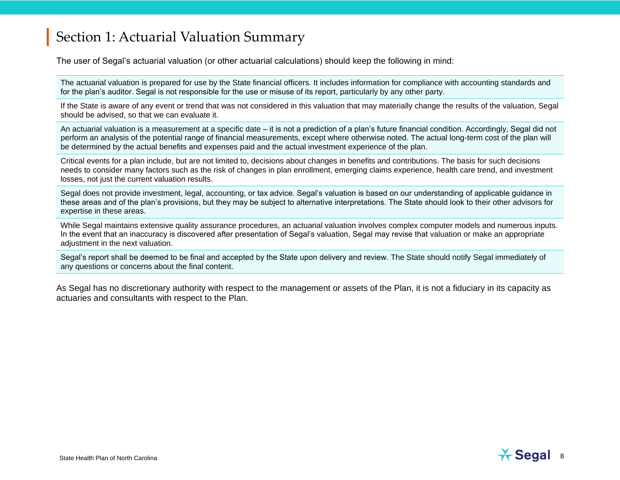The user of Segal's actuarial valuation (or other actuarial calculations) should keep the following in mind:

The actuarial valuation is prepared for use by the State financial officers. It includes information for compliance with accounting standards and for the plan's auditor. Segal is not responsible for the use or misuse of its report, particularly by any other party.

If the State is aware of any event or trend that was not considered in this valuation that may materially change the results of the valuation, Segal should be advised, so that we can evaluate it.

An actuarial valuation is a measurement at a specific date – it is not a prediction of a plan's future financial condition. Accordingly, Segal did not perform an analysis of the potential range of financial measurements, except where otherwise noted. The actual long-term cost of the plan will be determined by the actual benefits and expenses paid and the actual investment experience of the plan.

Critical events for a plan include, but are not limited to, decisions about changes in benefits and contributions. The basis for such decisions needs to consider many factors such as the risk of changes in plan enrollment, emerging claims experience, health care trend, and investment losses, not just the current valuation results.

Segal does not provide investment, legal, accounting, or tax advice. Segal's valuation is based on our understanding of applicable guidance in these areas and of the plan's provisions, but they may be subject to alternative interpretations. The State should look to their other advisors for expertise in these areas.

While Segal maintains extensive quality assurance procedures, an actuarial valuation involves complex computer models and numerous inputs. In the event that an inaccuracy is discovered after presentation of Segal's valuation, Segal may revise that valuation or make an appropriate adjustment in the next valuation.

Segal's report shall be deemed to be final and accepted by the State upon delivery and review. The State should notify Segal immediately of any questions or concerns about the final content.

As Segal has no discretionary authority with respect to the management or assets of the Plan, it is not a fiduciary in its capacity as actuaries and consultants with respect to the Plan.

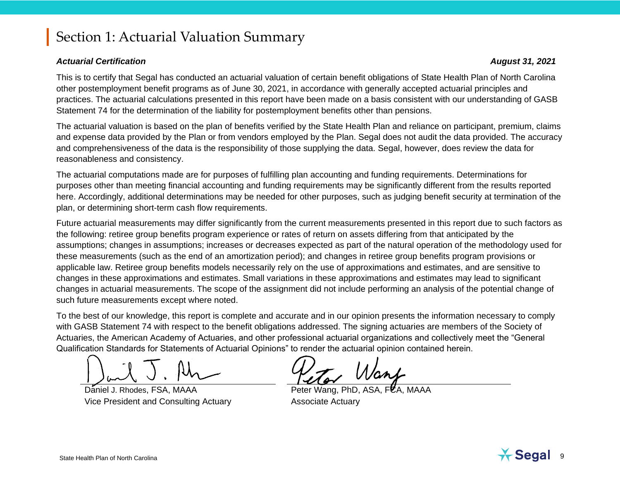#### *Actuarial Certification August 31, 2021*

This is to certify that Segal has conducted an actuarial valuation of certain benefit obligations of State Health Plan of North Carolina other postemployment benefit programs as of June 30, 2021, in accordance with generally accepted actuarial principles and practices. The actuarial calculations presented in this report have been made on a basis consistent with our understanding of GASB Statement 74 for the determination of the liability for postemployment benefits other than pensions.

The actuarial valuation is based on the plan of benefits verified by the State Health Plan and reliance on participant, premium, claims and expense data provided by the Plan or from vendors employed by the Plan. Segal does not audit the data provided. The accuracy and comprehensiveness of the data is the responsibility of those supplying the data. Segal, however, does review the data for reasonableness and consistency.

The actuarial computations made are for purposes of fulfilling plan accounting and funding requirements. Determinations for purposes other than meeting financial accounting and funding requirements may be significantly different from the results reported here. Accordingly, additional determinations may be needed for other purposes, such as judging benefit security at termination of the plan, or determining short-term cash flow requirements.

Future actuarial measurements may differ significantly from the current measurements presented in this report due to such factors as the following: retiree group benefits program experience or rates of return on assets differing from that anticipated by the assumptions; changes in assumptions; increases or decreases expected as part of the natural operation of the methodology used for these measurements (such as the end of an amortization period); and changes in retiree group benefits program provisions or applicable law. Retiree group benefits models necessarily rely on the use of approximations and estimates, and are sensitive to changes in these approximations and estimates. Small variations in these approximations and estimates may lead to significant changes in actuarial measurements. The scope of the assignment did not include performing an analysis of the potential change of such future measurements except where noted.

To the best of our knowledge, this report is complete and accurate and in our opinion presents the information necessary to comply with GASB Statement 74 with respect to the benefit obligations addressed. The signing actuaries are members of the Society of Actuaries, the American Academy of Actuaries, and other professional actuarial organizations and collectively meet the "General Qualification Standards for Statements of Actuarial Opinions" to render the actuarial opinion contained herein.

Daniel J. Rhodes, FSA, MAAA Peter Wang, PhD, ASA, Peter Wang, PhD, ASA, Vice President and Consulting Actuary **Associate Actuary** 

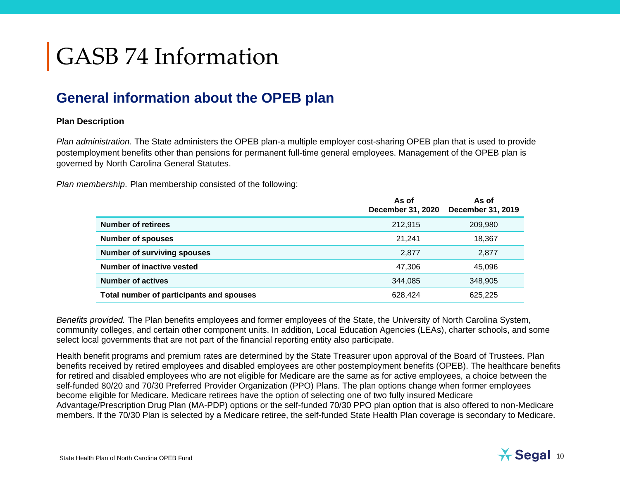# GASB 74 Information

### **General information about the OPEB plan**

#### **Plan Description**

*Plan administration.* The State administers the OPEB plan-a multiple employer cost-sharing OPEB plan that is used to provide postemployment benefits other than pensions for permanent full-time general employees. Management of the OPEB plan is governed by North Carolina General Statutes.

*Plan membership.* Plan membership consisted of the following:

|                                          | As of<br>December 31, 2020 | As of<br>December 31, 2019 |
|------------------------------------------|----------------------------|----------------------------|
| <b>Number of retirees</b>                | 212,915                    | 209,980                    |
| <b>Number of spouses</b>                 | 21.241                     | 18,367                     |
| <b>Number of surviving spouses</b>       | 2,877                      | 2,877                      |
| Number of inactive vested                | 47,306                     | 45,096                     |
| <b>Number of actives</b>                 | 344,085                    | 348,905                    |
| Total number of participants and spouses | 628,424                    | 625,225                    |

*Benefits provided.* The Plan benefits employees and former employees of the State, the University of North Carolina System, community colleges, and certain other component units. In addition, Local Education Agencies (LEAs), charter schools, and some select local governments that are not part of the financial reporting entity also participate.

Health benefit programs and premium rates are determined by the State Treasurer upon approval of the Board of Trustees. Plan benefits received by retired employees and disabled employees are other postemployment benefits (OPEB). The healthcare benefits for retired and disabled employees who are not eligible for Medicare are the same as for active employees, a choice between the self-funded 80/20 and 70/30 Preferred Provider Organization (PPO) Plans. The plan options change when former employees become eligible for Medicare. Medicare retirees have the option of selecting one of two fully insured Medicare Advantage/Prescription Drug Plan (MA-PDP) options or the self-funded 70/30 PPO plan option that is also offered to non-Medicare members. If the 70/30 Plan is selected by a Medicare retiree, the self-funded State Health Plan coverage is secondary to Medicare.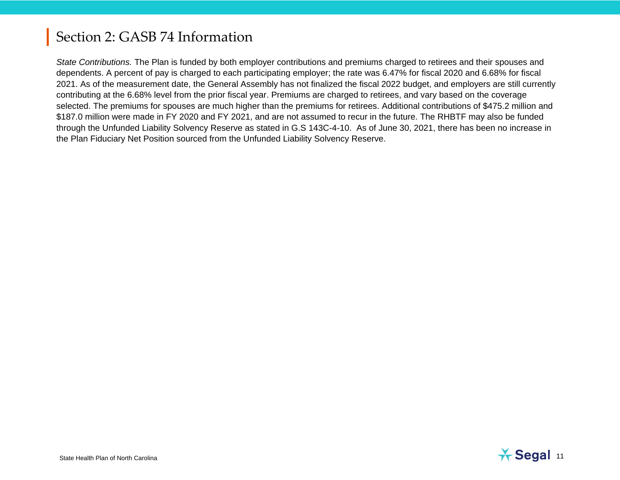*State Contributions.* The Plan is funded by both employer contributions and premiums charged to retirees and their spouses and dependents. A percent of pay is charged to each participating employer; the rate was 6.47% for fiscal 2020 and 6.68% for fiscal 2021. As of the measurement date, the General Assembly has not finalized the fiscal 2022 budget, and employers are still currently contributing at the 6.68% level from the prior fiscal year. Premiums are charged to retirees, and vary based on the coverage selected. The premiums for spouses are much higher than the premiums for retirees. Additional contributions of \$475.2 million and \$187.0 million were made in FY 2020 and FY 2021, and are not assumed to recur in the future. The RHBTF may also be funded through the Unfunded Liability Solvency Reserve as stated in G.S 143C-4-10. As of June 30, 2021, there has been no increase in the Plan Fiduciary Net Position sourced from the Unfunded Liability Solvency Reserve.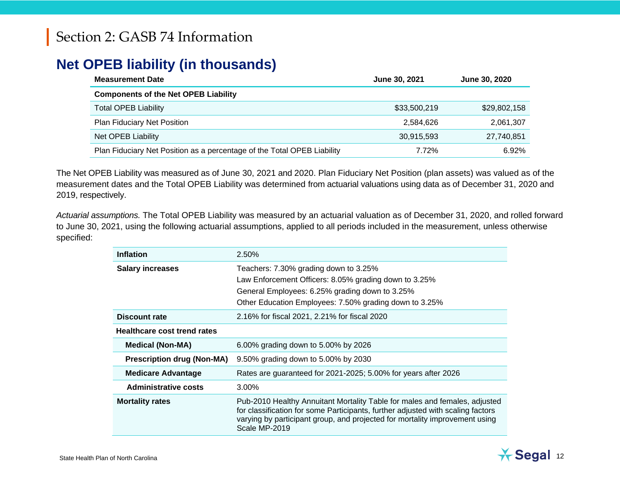### **Net OPEB liability (in thousands)**

| <b>Measurement Date</b>                                                 | June 30, 2021 | June 30, 2020 |
|-------------------------------------------------------------------------|---------------|---------------|
| <b>Components of the Net OPEB Liability</b>                             |               |               |
| <b>Total OPEB Liability</b>                                             | \$33,500,219  | \$29,802,158  |
| <b>Plan Fiduciary Net Position</b>                                      | 2,584,626     | 2,061,307     |
| Net OPEB Liability                                                      | 30,915,593    | 27,740,851    |
| Plan Fiduciary Net Position as a percentage of the Total OPEB Liability | 7.72%         | 6.92%         |

The Net OPEB Liability was measured as of June 30, 2021 and 2020. Plan Fiduciary Net Position (plan assets) was valued as of the measurement dates and the Total OPEB Liability was determined from actuarial valuations using data as of December 31, 2020 and 2019, respectively.

*Actuarial assumptions.* The Total OPEB Liability was measured by an actuarial valuation as of December 31, 2020, and rolled forward to June 30, 2021, using the following actuarial assumptions, applied to all periods included in the measurement, unless otherwise specified:

| <b>Inflation</b>                   | 2.50%                                                                                                                                                                                                                                                         |
|------------------------------------|---------------------------------------------------------------------------------------------------------------------------------------------------------------------------------------------------------------------------------------------------------------|
| <b>Salary increases</b>            | Teachers: 7.30% grading down to 3.25%<br>Law Enforcement Officers: 8.05% grading down to 3.25%<br>General Employees: 6.25% grading down to 3.25%<br>Other Education Employees: 7.50% grading down to 3.25%                                                    |
| <b>Discount rate</b>               | 2.16% for fiscal 2021, 2.21% for fiscal 2020                                                                                                                                                                                                                  |
| <b>Healthcare cost trend rates</b> |                                                                                                                                                                                                                                                               |
| <b>Medical (Non-MA)</b>            | 6.00% grading down to 5.00% by 2026                                                                                                                                                                                                                           |
| <b>Prescription drug (Non-MA)</b>  | 9.50% grading down to 5.00% by 2030                                                                                                                                                                                                                           |
| <b>Medicare Advantage</b>          | Rates are guaranteed for 2021-2025; 5.00% for years after 2026                                                                                                                                                                                                |
| <b>Administrative costs</b>        | 3.00%                                                                                                                                                                                                                                                         |
| <b>Mortality rates</b>             | Pub-2010 Healthy Annuitant Mortality Table for males and females, adjusted<br>for classification for some Participants, further adjusted with scaling factors<br>varying by participant group, and projected for mortality improvement using<br>Scale MP-2019 |

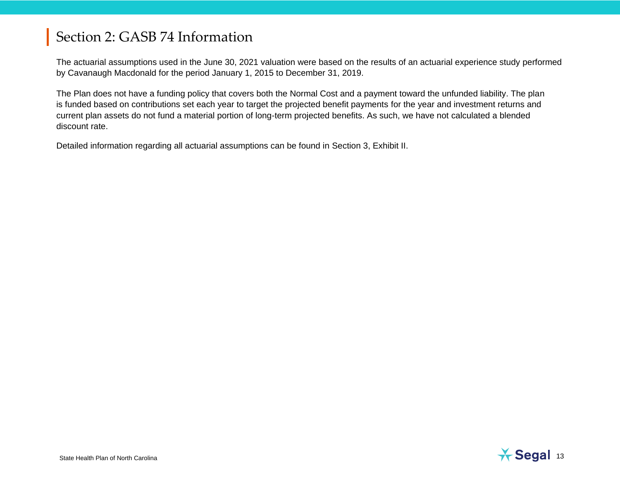The actuarial assumptions used in the June 30, 2021 valuation were based on the results of an actuarial experience study performed by Cavanaugh Macdonald for the period January 1, 2015 to December 31, 2019.

The Plan does not have a funding policy that covers both the Normal Cost and a payment toward the unfunded liability. The plan is funded based on contributions set each year to target the projected benefit payments for the year and investment returns and current plan assets do not fund a material portion of long-term projected benefits. As such, we have not calculated a blended discount rate.

Detailed information regarding all actuarial assumptions can be found in Section 3, Exhibit II.

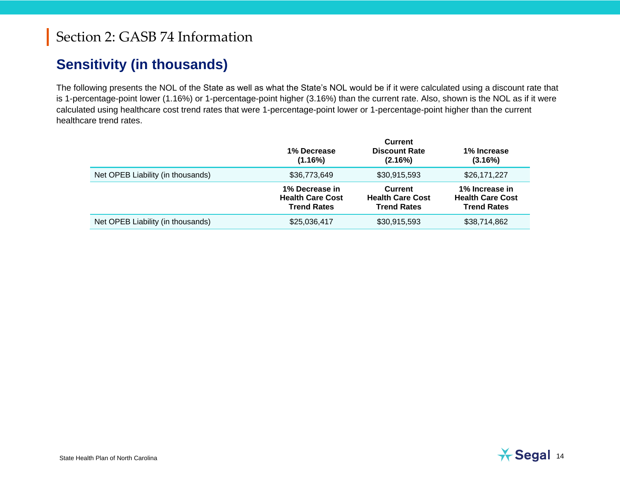### **Sensitivity (in thousands)**

The following presents the NOL of the State as well as what the State's NOL would be if it were calculated using a discount rate that is 1-percentage-point lower (1.16%) or 1-percentage-point higher (3.16%) than the current rate. Also, shown is the NOL as if it were calculated using healthcare cost trend rates that were 1-percentage-point lower or 1-percentage-point higher than the current healthcare trend rates.

|                                   | 1% Decrease<br>(1.16%)                                          | <b>Current</b><br><b>Discount Rate</b><br>(2.16%)               | 1% Increase<br>(3.16%)                                          |
|-----------------------------------|-----------------------------------------------------------------|-----------------------------------------------------------------|-----------------------------------------------------------------|
| Net OPEB Liability (in thousands) | \$36,773,649                                                    | \$30,915,593                                                    | \$26,171,227                                                    |
|                                   | 1% Decrease in<br><b>Health Care Cost</b><br><b>Trend Rates</b> | <b>Current</b><br><b>Health Care Cost</b><br><b>Trend Rates</b> | 1% Increase in<br><b>Health Care Cost</b><br><b>Trend Rates</b> |
| Net OPEB Liability (in thousands) | \$25,036,417                                                    | \$30,915,593                                                    | \$38,714,862                                                    |

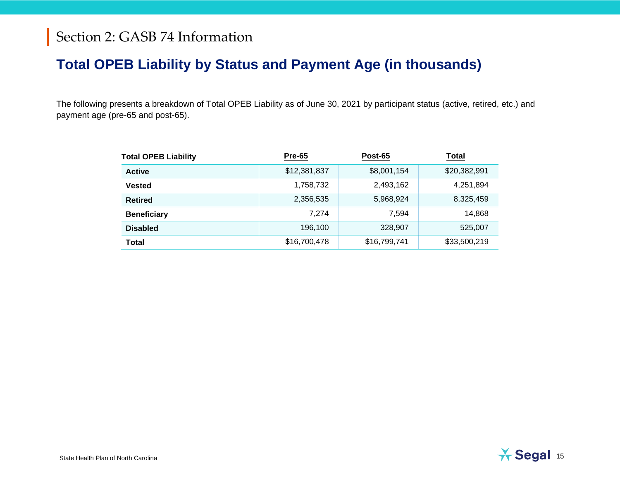### **Total OPEB Liability by Status and Payment Age (in thousands)**

The following presents a breakdown of Total OPEB Liability as of June 30, 2021 by participant status (active, retired, etc.) and payment age (pre-65 and post-65).

| <b>Total OPEB Liability</b> | <b>Pre-65</b> | Post-65      | <b>Total</b> |
|-----------------------------|---------------|--------------|--------------|
| <b>Active</b>               | \$12,381,837  | \$8,001,154  | \$20,382,991 |
| <b>Vested</b>               | 1,758,732     | 2,493,162    | 4,251,894    |
| <b>Retired</b>              | 2,356,535     | 5,968,924    | 8,325,459    |
| <b>Beneficiary</b>          | 7.274         | 7.594        | 14,868       |
| <b>Disabled</b>             | 196,100       | 328,907      | 525,007      |
| <b>Total</b>                | \$16,700,478  | \$16,799,741 | \$33,500,219 |

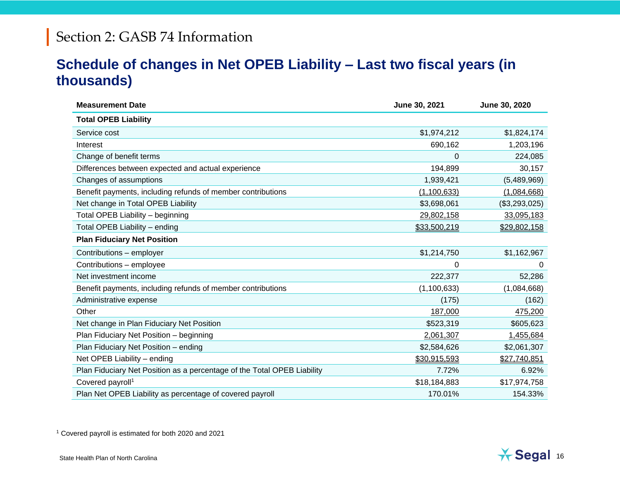### **Schedule of changes in Net OPEB Liability – Last two fiscal years (in thousands)**

| <b>Measurement Date</b>                                                 | June 30, 2021 | June 30, 2020 |
|-------------------------------------------------------------------------|---------------|---------------|
| <b>Total OPEB Liability</b>                                             |               |               |
| Service cost                                                            | \$1,974,212   | \$1,824,174   |
| Interest                                                                | 690,162       | 1,203,196     |
| Change of benefit terms                                                 | 0             | 224,085       |
| Differences between expected and actual experience                      | 194,899       | 30,157        |
| Changes of assumptions                                                  | 1,939,421     | (5,489,969)   |
| Benefit payments, including refunds of member contributions             | (1,100,633)   | (1,084,668)   |
| Net change in Total OPEB Liability                                      | \$3,698,061   | (\$3,293,025) |
| Total OPEB Liability - beginning                                        | 29,802,158    | 33,095,183    |
| Total OPEB Liability - ending                                           | \$33,500,219  | \$29,802,158  |
| <b>Plan Fiduciary Net Position</b>                                      |               |               |
| Contributions - employer                                                | \$1,214,750   | \$1,162,967   |
| Contributions - employee                                                | 0             | 0             |
| Net investment income                                                   | 222,377       | 52,286        |
| Benefit payments, including refunds of member contributions             | (1, 100, 633) | (1,084,668)   |
| Administrative expense                                                  | (175)         | (162)         |
| Other                                                                   | 187,000       | 475,200       |
| Net change in Plan Fiduciary Net Position                               | \$523,319     | \$605,623     |
| Plan Fiduciary Net Position - beginning                                 | 2,061,307     | 1,455,684     |
| Plan Fiduciary Net Position - ending                                    | \$2,584,626   | \$2,061,307   |
| Net OPEB Liability - ending                                             | \$30,915,593  | \$27,740,851  |
| Plan Fiduciary Net Position as a percentage of the Total OPEB Liability | 7.72%         | 6.92%         |
| Covered payroll <sup>1</sup>                                            | \$18,184,883  | \$17,974,758  |
| Plan Net OPEB Liability as percentage of covered payroll                | 170.01%       | 154.33%       |

<sup>1</sup> Covered payroll is estimated for both 2020 and 2021

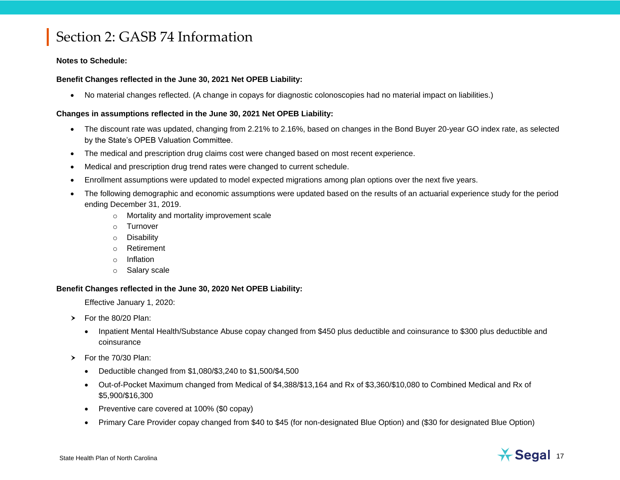#### **Notes to Schedule:**

#### **Benefit Changes reflected in the June 30, 2021 Net OPEB Liability:**

No material changes reflected. (A change in copays for diagnostic colonoscopies had no material impact on liabilities.)

#### **Changes in assumptions reflected in the June 30, 2021 Net OPEB Liability:**

- The discount rate was updated, changing from 2.21% to 2.16%, based on changes in the Bond Buyer 20-year GO index rate, as selected by the State's OPEB Valuation Committee.
- The medical and prescription drug claims cost were changed based on most recent experience.
- Medical and prescription drug trend rates were changed to current schedule.
- Enrollment assumptions were updated to model expected migrations among plan options over the next five years.
- The following demographic and economic assumptions were updated based on the results of an actuarial experience study for the period ending December 31, 2019.
	- o Mortality and mortality improvement scale
	- o Turnover
	- o Disability
	- o Retirement
	- o Inflation
	- o Salary scale

#### **Benefit Changes reflected in the June 30, 2020 Net OPEB Liability:**

Effective January 1, 2020:

- $\triangleright$  For the 80/20 Plan:
	- Inpatient Mental Health/Substance Abuse copay changed from \$450 plus deductible and coinsurance to \$300 plus deductible and coinsurance
- $\triangleright$  For the 70/30 Plan:
	- Deductible changed from \$1,080/\$3,240 to \$1,500/\$4,500
	- Out-of-Pocket Maximum changed from Medical of \$4,388/\$13,164 and Rx of \$3,360/\$10,080 to Combined Medical and Rx of \$5,900/\$16,300
	- Preventive care covered at 100% (\$0 copay)
	- Primary Care Provider copay changed from \$40 to \$45 (for non-designated Blue Option) and (\$30 for designated Blue Option)

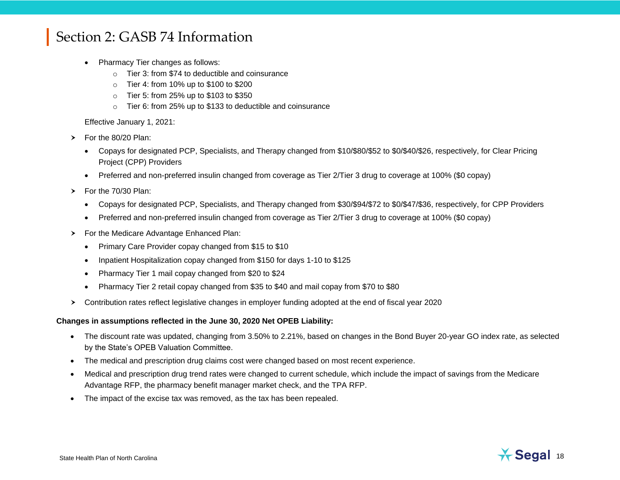- Pharmacy Tier changes as follows:
	- o Tier 3: from \$74 to deductible and coinsurance
	- o Tier 4: from 10% up to \$100 to \$200
	- o Tier 5: from 25% up to \$103 to \$350
	- o Tier 6: from 25% up to \$133 to deductible and coinsurance

Effective January 1, 2021:

- $\triangleright$  For the 80/20 Plan:
	- Copays for designated PCP, Specialists, and Therapy changed from \$10/\$80/\$52 to \$0/\$40/\$26, respectively, for Clear Pricing Project (CPP) Providers
	- Preferred and non-preferred insulin changed from coverage as Tier 2/Tier 3 drug to coverage at 100% (\$0 copay)
- $\triangleright$  For the 70/30 Plan:
	- Copays for designated PCP, Specialists, and Therapy changed from \$30/\$94/\$72 to \$0/\$47/\$36, respectively, for CPP Providers
	- Preferred and non-preferred insulin changed from coverage as Tier 2/Tier 3 drug to coverage at 100% (\$0 copay)
- For the Medicare Advantage Enhanced Plan:
	- Primary Care Provider copay changed from \$15 to \$10
	- Inpatient Hospitalization copay changed from \$150 for days 1-10 to \$125
	- Pharmacy Tier 1 mail copay changed from \$20 to \$24
	- Pharmacy Tier 2 retail copay changed from \$35 to \$40 and mail copay from \$70 to \$80
- Contribution rates reflect legislative changes in employer funding adopted at the end of fiscal year 2020

#### **Changes in assumptions reflected in the June 30, 2020 Net OPEB Liability:**

- The discount rate was updated, changing from 3.50% to 2.21%, based on changes in the Bond Buyer 20-year GO index rate, as selected by the State's OPEB Valuation Committee.
- The medical and prescription drug claims cost were changed based on most recent experience.
- Medical and prescription drug trend rates were changed to current schedule, which include the impact of savings from the Medicare Advantage RFP, the pharmacy benefit manager market check, and the TPA RFP.
- The impact of the excise tax was removed, as the tax has been repealed.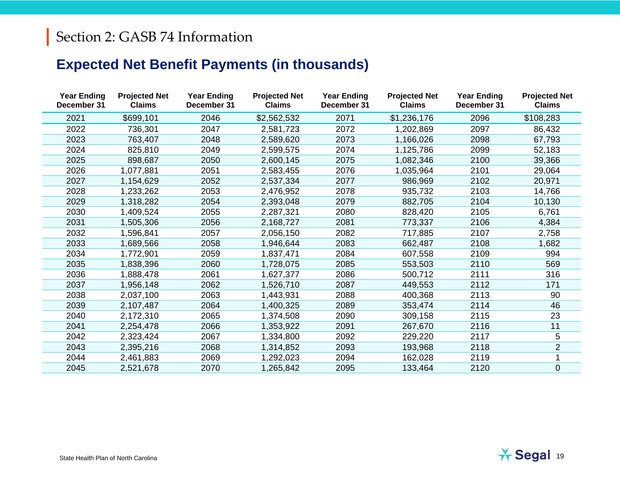## **Expected Net Benefit Payments (in thousands)**

| <b>Year Ending</b><br>December 31 | <b>Projected Net</b><br><b>Claims</b> | <b>Year Ending</b><br>December 31 | <b>Projected Net</b><br><b>Claims</b> | <b>Year Ending</b><br>December 31 | <b>Projected Net</b><br><b>Claims</b> | <b>Year Ending</b><br>December 31 | <b>Projected Net</b><br><b>Claims</b> |
|-----------------------------------|---------------------------------------|-----------------------------------|---------------------------------------|-----------------------------------|---------------------------------------|-----------------------------------|---------------------------------------|
| 2021                              | \$699,101                             | 2046                              | \$2,562,532                           | 2071                              | \$1,236,176                           | 2096                              | \$108,283                             |
| 2022                              | 736,301                               | 2047                              | 2,581,723                             | 2072                              | 1,202,869                             | 2097                              | 86,432                                |
| 2023                              | 763,407                               | 2048                              | 2,589,620                             | 2073                              | 1,166,026                             | 2098                              | 67,793                                |
| 2024                              | 825,810                               | 2049                              | 2,599,575                             | 2074                              | 1,125,786                             | 2099                              | 52,183                                |
| 2025                              | 898,687                               | 2050                              | 2,600,145                             | 2075                              | 1,082,346                             | 2100                              | 39,366                                |
| 2026                              | 1,077,881                             | 2051                              | 2,583,455                             | 2076                              | 1,035,964                             | 2101                              | 29,064                                |
| 2027                              | 1,154,629                             | 2052                              | 2,537,334                             | 2077                              | 986,969                               | 2102                              | 20,971                                |
| 2028                              | 1,233,262                             | 2053                              | 2,476,952                             | 2078                              | 935,732                               | 2103                              | 14,766                                |
| 2029                              | 1,318,282                             | 2054                              | 2,393,048                             | 2079                              | 882,705                               | 2104                              | 10,130                                |
| 2030                              | 1,409,524                             | 2055                              | 2,287,321                             | 2080                              | 828,420                               | 2105                              | 6,761                                 |
| 2031                              | 1,505,306                             | 2056                              | 2,168,727                             | 2081                              | 773,337                               | 2106                              | 4,384                                 |
| 2032                              | 1,596,841                             | 2057                              | 2,056,150                             | 2082                              | 717,885                               | 2107                              | 2,758                                 |
| 2033                              | 1,689,566                             | 2058                              | 1,946,644                             | 2083                              | 662,487                               | 2108                              | 1,682                                 |
| 2034                              | 1,772,901                             | 2059                              | 1,837,471                             | 2084                              | 607,558                               | 2109                              | 994                                   |
| 2035                              | 1,838,396                             | 2060                              | 1,728,075                             | 2085                              | 553,503                               | 2110                              | 569                                   |
| 2036                              | 1,888,478                             | 2061                              | 1,627,377                             | 2086                              | 500,712                               | 2111                              | 316                                   |
| 2037                              | 1,956,148                             | 2062                              | 1,526,710                             | 2087                              | 449,553                               | 2112                              | 171                                   |
| 2038                              | 2,037,100                             | 2063                              | 1,443,931                             | 2088                              | 400,368                               | 2113                              | 90                                    |
| 2039                              | 2,107,487                             | 2064                              | 1,400,325                             | 2089                              | 353,474                               | 2114                              | 46                                    |
| 2040                              | 2,172,310                             | 2065                              | 1,374,508                             | 2090                              | 309,158                               | 2115                              | 23                                    |
| 2041                              | 2,254,478                             | 2066                              | 1,353,922                             | 2091                              | 267,670                               | 2116                              | 11                                    |
| 2042                              | 2,323,424                             | 2067                              | 1,334,800                             | 2092                              | 229,220                               | 2117                              | 5                                     |
| 2043                              | 2,395,216                             | 2068                              | 1,314,852                             | 2093                              | 193,968                               | 2118                              | $\overline{2}$                        |
| 2044                              | 2,461,883                             | 2069                              | 1,292,023                             | 2094                              | 162,028                               | 2119                              |                                       |
| 2045                              | 2,521,678                             | 2070                              | 1,265,842                             | 2095                              | 133,464                               | 2120                              | $\pmb{0}$                             |
|                                   |                                       |                                   |                                       |                                   |                                       |                                   |                                       |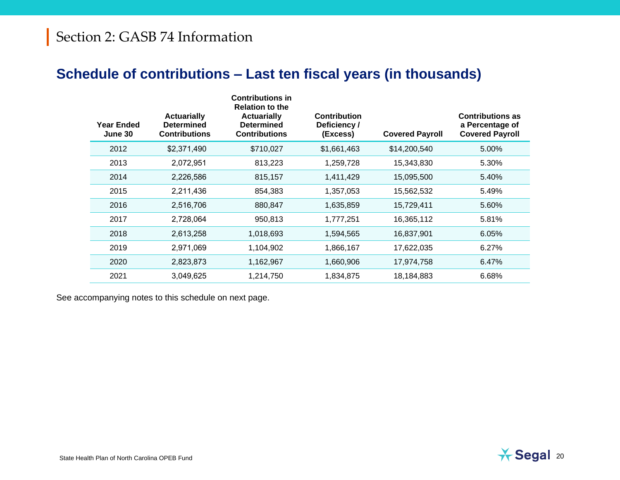### **Schedule of contributions – Last ten fiscal years (in thousands)**

| <b>Year Ended</b><br>June 30 | <b>Actuarially</b><br><b>Determined</b><br><b>Contributions</b> | <b>Contributions in</b><br><b>Relation to the</b><br><b>Actuarially</b><br><b>Determined</b><br><b>Contributions</b> | <b>Contribution</b><br>Deficiency /<br>(Excess) | <b>Covered Payroll</b> | <b>Contributions as</b><br>a Percentage of<br><b>Covered Payroll</b> |
|------------------------------|-----------------------------------------------------------------|----------------------------------------------------------------------------------------------------------------------|-------------------------------------------------|------------------------|----------------------------------------------------------------------|
| 2012                         | \$2,371,490                                                     | \$710,027                                                                                                            | \$1,661,463                                     | \$14,200,540           | 5.00%                                                                |
| 2013                         | 2,072,951                                                       | 813,223                                                                                                              | 1,259,728                                       | 15,343,830             | 5.30%                                                                |
| 2014                         | 2,226,586                                                       | 815,157                                                                                                              | 1,411,429                                       | 15,095,500             | 5.40%                                                                |
| 2015                         | 2,211,436                                                       | 854,383                                                                                                              | 1,357,053                                       | 15,562,532             | 5.49%                                                                |
| 2016                         | 2,516,706                                                       | 880,847                                                                                                              | 1,635,859                                       | 15,729,411             | 5.60%                                                                |
| 2017                         | 2,728,064                                                       | 950,813                                                                                                              | 1,777,251                                       | 16,365,112             | 5.81%                                                                |
| 2018                         | 2,613,258                                                       | 1,018,693                                                                                                            | 1,594,565                                       | 16,837,901             | 6.05%                                                                |
| 2019                         | 2,971,069                                                       | 1,104,902                                                                                                            | 1,866,167                                       | 17,622,035             | 6.27%                                                                |
| 2020                         | 2,823,873                                                       | 1,162,967                                                                                                            | 1,660,906                                       | 17,974,758             | 6.47%                                                                |
| 2021                         | 3,049,625                                                       | 1,214,750                                                                                                            | 1,834,875                                       | 18,184,883             | 6.68%                                                                |

See accompanying notes to this schedule on next page.

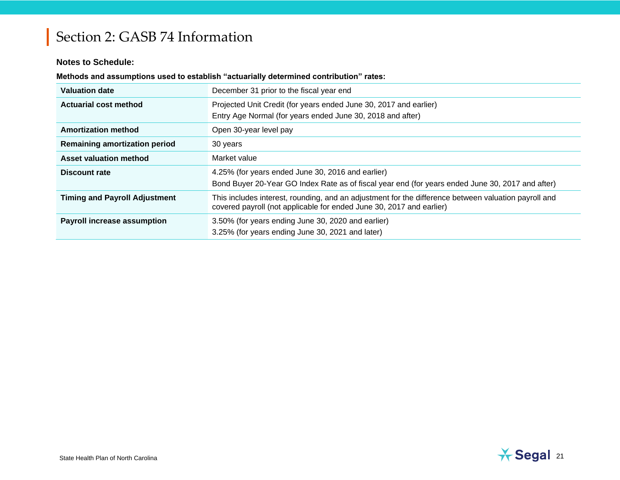#### **Notes to Schedule:**

#### **Methods and assumptions used to establish "actuarially determined contribution" rates:**

| <b>Valuation date</b>                | December 31 prior to the fiscal year end                                                                                                                                     |
|--------------------------------------|------------------------------------------------------------------------------------------------------------------------------------------------------------------------------|
| <b>Actuarial cost method</b>         | Projected Unit Credit (for years ended June 30, 2017 and earlier)<br>Entry Age Normal (for years ended June 30, 2018 and after)                                              |
| <b>Amortization method</b>           | Open 30-year level pay                                                                                                                                                       |
| <b>Remaining amortization period</b> | 30 years                                                                                                                                                                     |
| <b>Asset valuation method</b>        | Market value                                                                                                                                                                 |
| <b>Discount rate</b>                 | 4.25% (for years ended June 30, 2016 and earlier)<br>Bond Buyer 20-Year GO Index Rate as of fiscal year end (for years ended June 30, 2017 and after)                        |
| <b>Timing and Payroll Adjustment</b> | This includes interest, rounding, and an adjustment for the difference between valuation payroll and<br>covered payroll (not applicable for ended June 30, 2017 and earlier) |
| <b>Payroll increase assumption</b>   | 3.50% (for years ending June 30, 2020 and earlier)<br>3.25% (for years ending June 30, 2021 and later)                                                                       |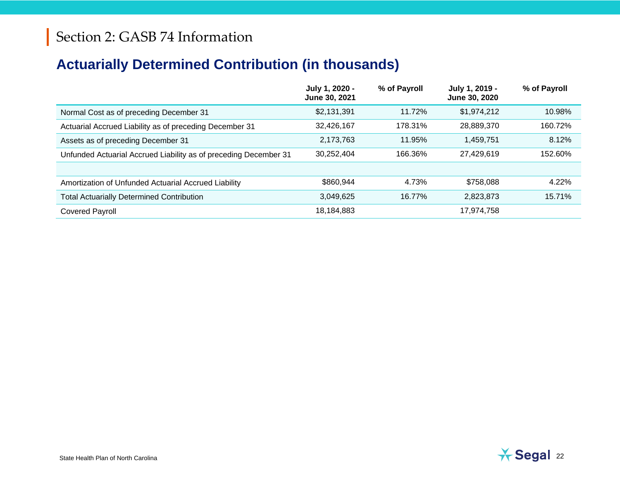## **Actuarially Determined Contribution (in thousands)**

|                                                                  | July 1, 2020 -<br>June 30, 2021 | % of Payroll | July 1, 2019 -<br>June 30, 2020 | % of Payroll |
|------------------------------------------------------------------|---------------------------------|--------------|---------------------------------|--------------|
| Normal Cost as of preceding December 31                          | \$2,131,391                     | 11.72%       | \$1,974,212                     | 10.98%       |
| Actuarial Accrued Liability as of preceding December 31          | 32,426,167                      | 178.31%      | 28,889,370                      | 160.72%      |
| Assets as of preceding December 31                               | 2,173,763                       | 11.95%       | 1,459,751                       | 8.12%        |
| Unfunded Actuarial Accrued Liability as of preceding December 31 | 30.252.404                      | 166.36%      | 27,429,619                      | 152.60%      |
|                                                                  |                                 |              |                                 |              |
| Amortization of Unfunded Actuarial Accrued Liability             | \$860,944                       | 4.73%        | \$758,088                       | 4.22%        |
| <b>Total Actuarially Determined Contribution</b>                 | 3,049,625                       | 16.77%       | 2,823,873                       | 15.71%       |
| <b>Covered Payroll</b>                                           | 18,184,883                      |              | 17,974,758                      |              |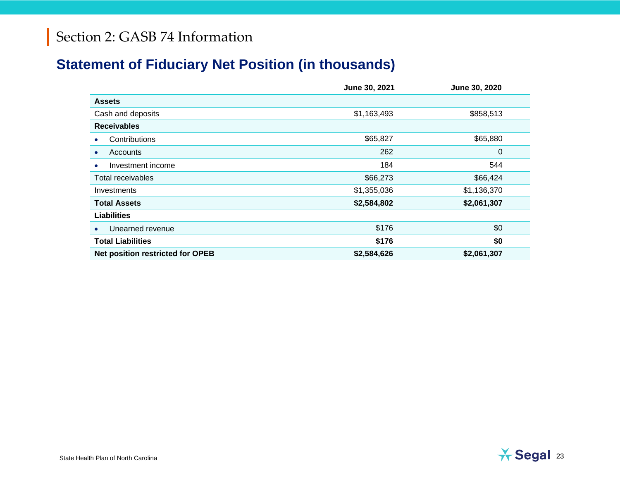### **Statement of Fiduciary Net Position (in thousands)**

|                                         | June 30, 2021 | June 30, 2020 |
|-----------------------------------------|---------------|---------------|
| <b>Assets</b>                           |               |               |
| Cash and deposits                       | \$1,163,493   | \$858,513     |
| <b>Receivables</b>                      |               |               |
| Contributions                           | \$65,827      | \$65,880      |
| Accounts<br>$\bullet$                   | 262           | 0             |
| Investment income<br>٠                  | 184           | 544           |
| Total receivables                       | \$66,273      | \$66,424      |
| Investments                             | \$1,355,036   | \$1,136,370   |
| <b>Total Assets</b>                     | \$2,584,802   | \$2,061,307   |
| <b>Liabilities</b>                      |               |               |
| Unearned revenue                        | \$176         | \$0           |
| <b>Total Liabilities</b>                | \$176         | \$0           |
| <b>Net position restricted for OPEB</b> | \$2,584,626   | \$2,061,307   |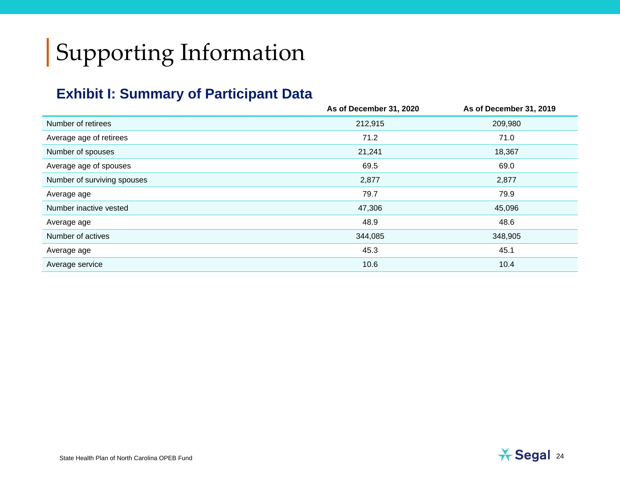# Supporting Information

### **Exhibit I: Summary of Participant Data**

|                             | As of December 31, 2020 | As of December 31, 2019 |
|-----------------------------|-------------------------|-------------------------|
| Number of retirees          | 212,915                 | 209,980                 |
| Average age of retirees     | 71.2                    | 71.0                    |
| Number of spouses           | 21,241                  | 18,367                  |
| Average age of spouses      | 69.5                    | 69.0                    |
| Number of surviving spouses | 2,877                   | 2,877                   |
| Average age                 | 79.7                    | 79.9                    |
| Number inactive vested      | 47,306                  | 45,096                  |
| Average age                 | 48.9                    | 48.6                    |
| Number of actives           | 344,085                 | 348,905                 |
| Average age                 | 45.3                    | 45.1                    |
| Average service             | 10.6                    | 10.4                    |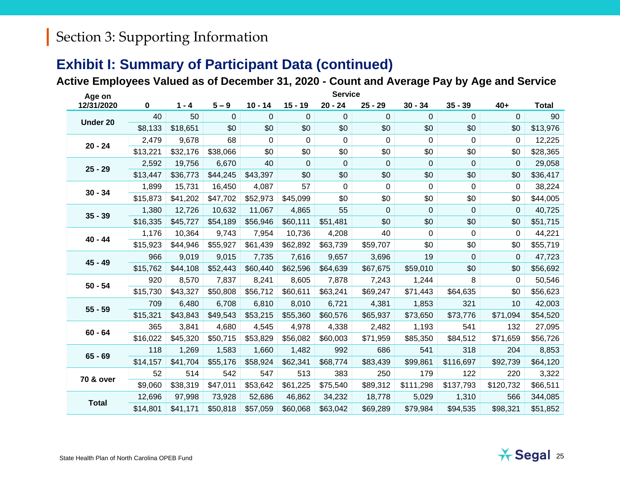### **Exhibit I: Summary of Participant Data (continued)**

#### **Active Employees Valued as of December 31, 2020 - Count and Average Pay by Age and Service**

| Age on               | <b>Service</b> |          |          |           |             |             |           |           |           |           |              |
|----------------------|----------------|----------|----------|-----------|-------------|-------------|-----------|-----------|-----------|-----------|--------------|
| 12/31/2020           | 0              | $1 - 4$  | $5 - 9$  | $10 - 14$ | $15 - 19$   | $20 - 24$   | $25 - 29$ | $30 - 34$ | $35 - 39$ | $40+$     | <b>Total</b> |
| Under 20             | 40             | 50       | 0        | 0         | 0           | 0           | 0         | 0         | 0         | 0         | 90           |
|                      | \$8,133        | \$18,651 | \$0      | \$0       | \$0         | \$0         | \$0       | \$0       | \$0       | \$0       | \$13,976     |
|                      | 2,479          | 9,678    | 68       | 0         | 0           | $\mathbf 0$ | 0         | $\Omega$  | 0         | 0         | 12,225       |
| $20 - 24$            | \$13,221       | \$32,176 | \$38,066 | \$0       | \$0         | \$0         | \$0       | \$0       | \$0       | \$0       | \$28,365     |
|                      | 2,592          | 19,756   | 6,670    | 40        | $\mathbf 0$ | 0           | 0         | $\Omega$  | 0         | 0         | 29,058       |
| $25 - 29$            | \$13,447       | \$36,773 | \$44,245 | \$43,397  | \$0         | \$0         | \$0       | \$0       | \$0       | \$0       | \$36,417     |
|                      | 1,899          | 15,731   | 16,450   | 4,087     | 57          | 0           | 0         | 0         | 0         | 0         | 38,224       |
| $30 - 34$            | \$15,873       | \$41,202 | \$47,702 | \$52,973  | \$45,099    | \$0         | \$0       | \$0       | \$0       | \$0       | \$44,005     |
| $35 - 39$            | 1,380          | 12,726   | 10,632   | 11,067    | 4,865       | 55          | 0         | 0         | 0         | 0         | 40,725       |
|                      | \$16,335       | \$45,727 | \$54,189 | \$56,946  | \$60,111    | \$51,481    | \$0       | \$0       | \$0       | \$0       | \$51,715     |
| $40 - 44$            | 1,176          | 10,364   | 9,743    | 7,954     | 10,736      | 4,208       | 40        | $\Omega$  | 0         | 0         | 44,221       |
|                      | \$15,923       | \$44,946 | \$55,927 | \$61,439  | \$62,892    | \$63,739    | \$59,707  | \$0       | \$0       | \$0       | \$55,719     |
| 45 - 49              | 966            | 9,019    | 9,015    | 7,735     | 7,616       | 9,657       | 3,696     | 19        | 0         | 0         | 47,723       |
|                      | \$15,762       | \$44,108 | \$52,443 | \$60,440  | \$62,596    | \$64,639    | \$67,675  | \$59,010  | \$0       | \$0       | \$56,692     |
| $50 - 54$            | 920            | 8,570    | 7,837    | 8,241     | 8,605       | 7,878       | 7,243     | 1,244     | 8         | 0         | 50,546       |
|                      | \$15,730       | \$43,327 | \$50,808 | \$56,712  | \$60,611    | \$63,241    | \$69,247  | \$71,443  | \$64,635  | \$0       | \$56,623     |
| $55 - 59$            | 709            | 6,480    | 6,708    | 6,810     | 8,010       | 6,721       | 4,381     | 1,853     | 321       | 10        | 42,003       |
|                      | \$15,321       | \$43,843 | \$49,543 | \$53,215  | \$55,360    | \$60,576    | \$65,937  | \$73,650  | \$73,776  | \$71,094  | \$54,520     |
| $60 - 64$            | 365            | 3,841    | 4,680    | 4,545     | 4,978       | 4,338       | 2,482     | 1,193     | 541       | 132       | 27,095       |
|                      | \$16,022       | \$45,320 | \$50,715 | \$53,829  | \$56,082    | \$60,003    | \$71,959  | \$85,350  | \$84,512  | \$71,659  | \$56,726     |
| $65 - 69$            | 118            | 1,269    | 1,583    | 1,660     | 1,482       | 992         | 686       | 541       | 318       | 204       | 8,853        |
|                      | \$14,157       | \$41,704 | \$55,176 | \$58,924  | \$62,341    | \$68,774    | \$83,439  | \$99,861  | \$116,697 | \$92,739  | \$64,120     |
| <b>70 &amp; over</b> | 52             | 514      | 542      | 547       | 513         | 383         | 250       | 179       | 122       | 220       | 3,322        |
|                      | \$9,060        | \$38,319 | \$47,011 | \$53,642  | \$61,225    | \$75,540    | \$89,312  | \$111,298 | \$137,793 | \$120,732 | \$66,511     |
| <b>Total</b>         | 12,696         | 97,998   | 73,928   | 52,686    | 46,862      | 34,232      | 18,778    | 5,029     | 1,310     | 566       | 344,085      |
|                      | \$14,801       | \$41,171 | \$50,818 | \$57,059  | \$60,068    | \$63,042    | \$69,289  | \$79,984  | \$94,535  | \$98,321  | \$51,852     |

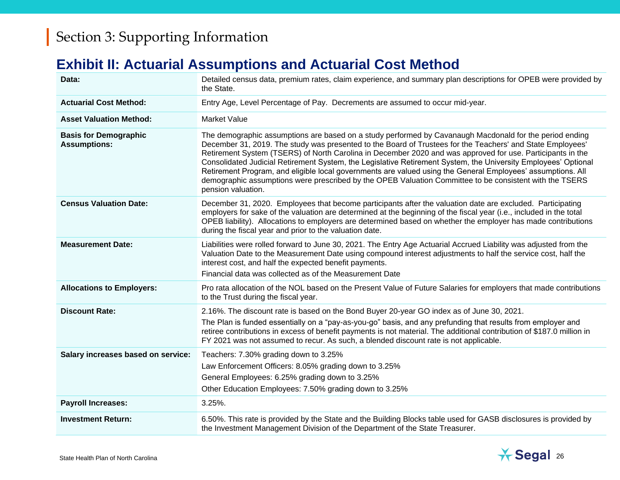### **Exhibit II: Actuarial Assumptions and Actuarial Cost Method**

| Data:                                               | Detailed census data, premium rates, claim experience, and summary plan descriptions for OPEB were provided by<br>the State.                                                                                                                                                                                                                                                                                                                                                                                                                                                                                                                                                                          |
|-----------------------------------------------------|-------------------------------------------------------------------------------------------------------------------------------------------------------------------------------------------------------------------------------------------------------------------------------------------------------------------------------------------------------------------------------------------------------------------------------------------------------------------------------------------------------------------------------------------------------------------------------------------------------------------------------------------------------------------------------------------------------|
| <b>Actuarial Cost Method:</b>                       | Entry Age, Level Percentage of Pay. Decrements are assumed to occur mid-year.                                                                                                                                                                                                                                                                                                                                                                                                                                                                                                                                                                                                                         |
| <b>Asset Valuation Method:</b>                      | <b>Market Value</b>                                                                                                                                                                                                                                                                                                                                                                                                                                                                                                                                                                                                                                                                                   |
| <b>Basis for Demographic</b><br><b>Assumptions:</b> | The demographic assumptions are based on a study performed by Cavanaugh Macdonald for the period ending<br>December 31, 2019. The study was presented to the Board of Trustees for the Teachers' and State Employees'<br>Retirement System (TSERS) of North Carolina in December 2020 and was approved for use. Participants in the<br>Consolidated Judicial Retirement System, the Legislative Retirement System, the University Employees' Optional<br>Retirement Program, and eligible local governments are valued using the General Employees' assumptions. All<br>demographic assumptions were prescribed by the OPEB Valuation Committee to be consistent with the TSERS<br>pension valuation. |
| <b>Census Valuation Date:</b>                       | December 31, 2020. Employees that become participants after the valuation date are excluded. Participating<br>employers for sake of the valuation are determined at the beginning of the fiscal year (i.e., included in the total<br>OPEB liability). Allocations to employers are determined based on whether the employer has made contributions<br>during the fiscal year and prior to the valuation date.                                                                                                                                                                                                                                                                                         |
| <b>Measurement Date:</b>                            | Liabilities were rolled forward to June 30, 2021. The Entry Age Actuarial Accrued Liability was adjusted from the<br>Valuation Date to the Measurement Date using compound interest adjustments to half the service cost, half the<br>interest cost, and half the expected benefit payments.<br>Financial data was collected as of the Measurement Date                                                                                                                                                                                                                                                                                                                                               |
| <b>Allocations to Employers:</b>                    | Pro rata allocation of the NOL based on the Present Value of Future Salaries for employers that made contributions<br>to the Trust during the fiscal year.                                                                                                                                                                                                                                                                                                                                                                                                                                                                                                                                            |
| <b>Discount Rate:</b>                               | 2.16%. The discount rate is based on the Bond Buyer 20-year GO index as of June 30, 2021.<br>The Plan is funded essentially on a "pay-as-you-go" basis, and any prefunding that results from employer and<br>retiree contributions in excess of benefit payments is not material. The additional contribution of \$187.0 million in<br>FY 2021 was not assumed to recur. As such, a blended discount rate is not applicable.                                                                                                                                                                                                                                                                          |
| Salary increases based on service:                  | Teachers: 7.30% grading down to 3.25%<br>Law Enforcement Officers: 8.05% grading down to 3.25%<br>General Employees: 6.25% grading down to 3.25%<br>Other Education Employees: 7.50% grading down to 3.25%                                                                                                                                                                                                                                                                                                                                                                                                                                                                                            |
| <b>Payroll Increases:</b>                           | $3.25%$ .                                                                                                                                                                                                                                                                                                                                                                                                                                                                                                                                                                                                                                                                                             |
| <b>Investment Return:</b>                           | 6.50%. This rate is provided by the State and the Building Blocks table used for GASB disclosures is provided by<br>the Investment Management Division of the Department of the State Treasurer.                                                                                                                                                                                                                                                                                                                                                                                                                                                                                                      |

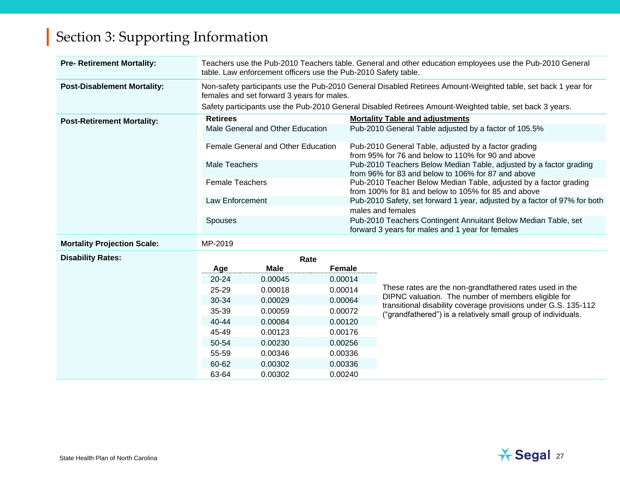| <b>Pre- Retirement Mortality:</b>  |                        | Teachers use the Pub-2010 Teachers table. General and other education employees use the Pub-2010 General<br>table. Law enforcement officers use the Pub-2010 Safety table. |                                                                           |                                                                                                                          |                                                                                                                          |  |  |  |  |  |
|------------------------------------|------------------------|----------------------------------------------------------------------------------------------------------------------------------------------------------------------------|---------------------------------------------------------------------------|--------------------------------------------------------------------------------------------------------------------------|--------------------------------------------------------------------------------------------------------------------------|--|--|--|--|--|
| <b>Post-Disablement Mortality:</b> |                        | females and set forward 3 years for males.                                                                                                                                 |                                                                           |                                                                                                                          | Non-safety participants use the Pub-2010 General Disabled Retirees Amount-Weighted table, set back 1 year for            |  |  |  |  |  |
|                                    |                        |                                                                                                                                                                            |                                                                           |                                                                                                                          | Safety participants use the Pub-2010 General Disabled Retirees Amount-Weighted table, set back 3 years.                  |  |  |  |  |  |
| <b>Post-Retirement Mortality:</b>  | <b>Retirees</b>        |                                                                                                                                                                            |                                                                           |                                                                                                                          | <b>Mortality Table and adjustments</b>                                                                                   |  |  |  |  |  |
|                                    |                        | Male General and Other Education                                                                                                                                           |                                                                           |                                                                                                                          | Pub-2010 General Table adjusted by a factor of 105.5%                                                                    |  |  |  |  |  |
|                                    |                        | Female General and Other Education                                                                                                                                         |                                                                           |                                                                                                                          | Pub-2010 General Table, adjusted by a factor grading<br>from 95% for 76 and below to 110% for 90 and above               |  |  |  |  |  |
|                                    | Male Teachers          |                                                                                                                                                                            |                                                                           |                                                                                                                          | Pub-2010 Teachers Below Median Table, adjusted by a factor grading<br>from 96% for 83 and below to 106% for 87 and above |  |  |  |  |  |
|                                    | <b>Female Teachers</b> |                                                                                                                                                                            |                                                                           | Pub-2010 Teacher Below Median Table, adjusted by a factor grading<br>from 100% for 81 and below to 105% for 85 and above |                                                                                                                          |  |  |  |  |  |
|                                    | <b>Law Enforcement</b> |                                                                                                                                                                            | Pub-2010 Safety, set forward 1 year, adjusted by a factor of 97% for both |                                                                                                                          |                                                                                                                          |  |  |  |  |  |
|                                    |                        |                                                                                                                                                                            |                                                                           | males and females                                                                                                        |                                                                                                                          |  |  |  |  |  |
|                                    | Spouses                |                                                                                                                                                                            |                                                                           |                                                                                                                          | Pub-2010 Teachers Contingent Annuitant Below Median Table, set<br>forward 3 years for males and 1 year for females       |  |  |  |  |  |
| <b>Mortality Projection Scale:</b> | MP-2019                |                                                                                                                                                                            |                                                                           |                                                                                                                          |                                                                                                                          |  |  |  |  |  |
| <b>Disability Rates:</b>           |                        | Rate                                                                                                                                                                       |                                                                           |                                                                                                                          |                                                                                                                          |  |  |  |  |  |
|                                    | Age                    | <b>Male</b>                                                                                                                                                                | Female                                                                    |                                                                                                                          |                                                                                                                          |  |  |  |  |  |
|                                    | $20 - 24$              | 0.00045                                                                                                                                                                    | 0.00014                                                                   |                                                                                                                          |                                                                                                                          |  |  |  |  |  |
|                                    | 25-29                  | 0.00018                                                                                                                                                                    | 0.00014                                                                   |                                                                                                                          | These rates are the non-grandfathered rates used in the                                                                  |  |  |  |  |  |
|                                    | 30-34                  | 0.00029                                                                                                                                                                    | 0.00064                                                                   |                                                                                                                          | DIPNC valuation. The number of members eligible for<br>transitional disability coverage provisions under G.S. 135-112    |  |  |  |  |  |
|                                    | 35-39                  | 0.00059                                                                                                                                                                    | 0.00072                                                                   |                                                                                                                          | ("grandfathered") is a relatively small group of individuals.                                                            |  |  |  |  |  |
|                                    | 40-44                  | 0.00084                                                                                                                                                                    | 0.00120                                                                   |                                                                                                                          |                                                                                                                          |  |  |  |  |  |
|                                    | 45-49                  | 0.00123                                                                                                                                                                    | 0.00176                                                                   |                                                                                                                          |                                                                                                                          |  |  |  |  |  |
|                                    | 50-54                  | 0.00230                                                                                                                                                                    | 0.00256                                                                   |                                                                                                                          |                                                                                                                          |  |  |  |  |  |
|                                    | 55-59                  | 0.00346                                                                                                                                                                    | 0.00336                                                                   |                                                                                                                          |                                                                                                                          |  |  |  |  |  |
|                                    | 60-62                  | 0.00302                                                                                                                                                                    | 0.00336                                                                   |                                                                                                                          |                                                                                                                          |  |  |  |  |  |
|                                    | 63-64                  | 0.00302                                                                                                                                                                    | 0.00240                                                                   |                                                                                                                          |                                                                                                                          |  |  |  |  |  |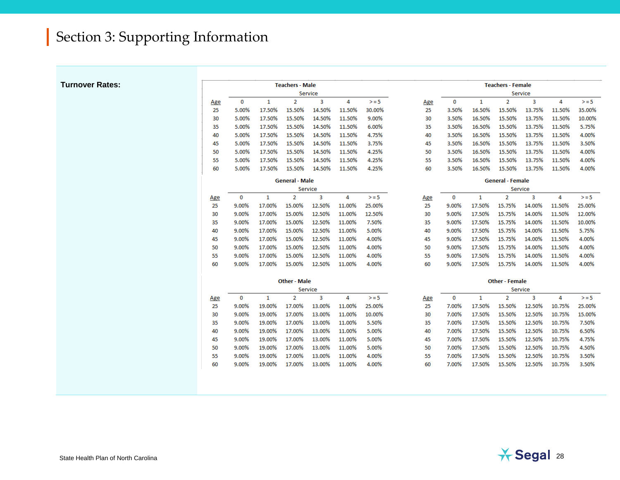**Turnover Rates:**

9.00% 19.00% 17.00% 13.00% 11.00% 4.00%

|             |              | <b>Teachers - Male</b> |         |        |        |     | <b>Teachers - Female</b> |        |                         |         |        |         |
|-------------|--------------|------------------------|---------|--------|--------|-----|--------------------------|--------|-------------------------|---------|--------|---------|
|             |              |                        | Service |        |        |     | Service                  |        |                         |         |        |         |
| $\mathbf 0$ | $\mathbf{1}$ | $\overline{2}$         | 3       | 4      | $>= 5$ | Age | 0                        | 1      | $\overline{2}$          | 3       | 4      | $> = 5$ |
| 5.00%       | 17.50%       | 15.50%                 | 14.50%  | 11.50% | 30.00% | 25  | 3.50%                    | 16.50% | 15.50%                  | 13.75%  | 11.50% | 35.00%  |
| 5.00%       | 17.50%       | 15.50%                 | 14.50%  | 11.50% | 9.00%  | 30  | 3.50%                    | 16.50% | 15.50%                  | 13.75%  | 11.50% | 10.00%  |
| 5.00%       | 17.50%       | 15.50%                 | 14.50%  | 11.50% | 6.00%  | 35  | 3.50%                    | 16.50% | 15.50%                  | 13.75%  | 11.50% | 5.75%   |
| 5.00%       | 17.50%       | 15.50%                 | 14.50%  | 11.50% | 4.75%  | 40  | 3.50%                    | 16.50% | 15.50%                  | 13.75%  | 11.50% | 4.00%   |
| 5.00%       | 17.50%       | 15.50%                 | 14.50%  | 11.50% | 3.75%  | 45  | 3.50%                    | 16.50% | 15.50%                  | 13.75%  | 11.50% | 3.50%   |
| 5.00%       | 17.50%       | 15.50%                 | 14.50%  | 11.50% | 4.25%  | 50  | 3.50%                    | 16.50% | 15.50%                  | 13.75%  | 11.50% | 4.00%   |
| 5.00%       | 17.50%       | 15.50%                 | 14.50%  | 11.50% | 4.25%  | 55  | 3.50%                    | 16.50% | 15.50%                  | 13.75%  | 11.50% | 4.00%   |
| 5.00%       | 17.50%       | 15.50%                 | 14.50%  | 11.50% | 4.25%  | 60  | 3.50%                    | 16.50% | 15.50%                  | 13.75%  | 11.50% | 4.00%   |
|             |              | <b>General - Male</b>  |         |        |        |     |                          |        | <b>General - Female</b> |         |        |         |
|             |              |                        | Service |        |        |     |                          |        |                         | Service |        |         |
| 0           | 1            | $\overline{2}$         | 3       | 4      | $>= 5$ | Age | 0                        | 1      | $\overline{\mathbf{2}}$ | 3       | 4      | $>= 5$  |
| 9.00%       | 17.00%       | 15.00%                 | 12.50%  | 11.00% | 25.00% | 25  | 9.00%                    | 17.50% | 15.75%                  | 14.00%  | 11.50% | 25.00%  |
| 9.00%       | 17.00%       | 15.00%                 | 12.50%  | 11.00% | 12.50% | 30  | 9.00%                    | 17.50% | 15.75%                  | 14.00%  | 11.50% | 12.00%  |
| 9.00%       | 17.00%       | 15.00%                 | 12.50%  | 11.00% | 7.50%  | 35  | 9.00%                    | 17.50% | 15.75%                  | 14.00%  | 11.50% | 10.00%  |
| 9.00%       | 17.00%       | 15.00%                 | 12.50%  | 11.00% | 5.00%  | 40  | 9.00%                    | 17.50% | 15.75%                  | 14.00%  | 11.50% | 5.75%   |
| 9.00%       | 17.00%       | 15.00%                 | 12.50%  | 11.00% | 4.00%  | 45  | 9.00%                    | 17.50% | 15.75%                  | 14.00%  | 11.50% | 4.00%   |
| 9.00%       | 17.00%       | 15.00%                 | 12.50%  | 11.00% | 4.00%  | 50  | 9.00%                    | 17.50% | 15.75%                  | 14.00%  | 11.50% | 4.00%   |
| 9.00%       | 17.00%       | 15.00%                 | 12.50%  | 11.00% | 4.00%  | 55  | 9.00%                    | 17.50% | 15.75%                  | 14.00%  | 11.50% | 4.00%   |
| 9.00%       | 17.00%       | 15.00%                 | 12.50%  | 11.00% | 4.00%  | 60  | 9.00%                    | 17.50% | 15.75%                  | 14.00%  | 11.50% | 4.00%   |
|             |              | <b>Other - Male</b>    |         |        |        |     |                          |        | <b>Other - Female</b>   |         |        |         |
|             |              |                        | Service |        |        |     |                          |        |                         | Service |        |         |
| 0           | 1            | $\overline{2}$         | 3       | 4      | $>= 5$ | Age | 0                        | 1      | 2                       | 3       | 4      | $>= 5$  |
| 9.00%       | 19.00%       | 17.00%                 | 13.00%  | 11.00% | 25.00% | 25  | 7.00%                    | 17.50% | 15.50%                  | 12.50%  | 10.75% | 25.00%  |
| 9.00%       | 19.00%       | 17.00%                 | 13.00%  | 11.00% | 10.00% | 30  | 7.00%                    | 17.50% | 15.50%                  | 12.50%  | 10.75% | 15.00%  |
| 9.00%       | 19.00%       | 17.00%                 | 13.00%  | 11.00% | 5.50%  | 35  | 7.00%                    | 17.50% | 15.50%                  | 12.50%  | 10.75% | 7.50%   |
| 9.00%       | 19.00%       | 17.00%                 | 13.00%  | 11.00% | 5.00%  | 40  | 7.00%                    | 17.50% | 15.50%                  | 12.50%  | 10.75% | 6.50%   |
| 9.00%       | 19.00%       | 17.00%                 | 13.00%  | 11.00% | 5.00%  | 45  | 7.00%                    | 17.50% | 15.50%                  | 12.50%  | 10.75% | 4.75%   |
| 9.00%       | 19.00%       | 17.00%                 | 13.00%  | 11.00% | 5.00%  | 50  | 7.00%                    | 17.50% | 15.50%                  | 12.50%  | 10.75% | 4.50%   |
| 9.00%       | 19.00%       | 17.00%                 | 13.00%  | 11.00% | 4.00%  | 55  | 7.00%                    | 17.50% | 15.50%                  | 12.50%  | 10.75% | 3.50%   |



3.50%

7.00% 17.50% 15.50% 12.50% 10.75%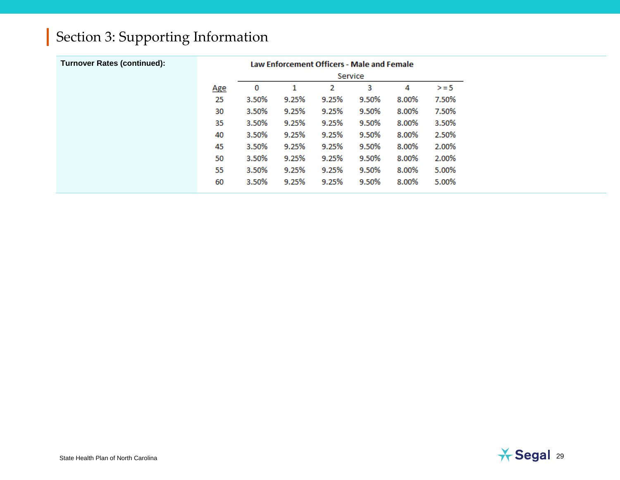| <b>Turnover Rates (continued):</b> | Law Enforcement Officers - Male and Female |         |       |       |       |       |        |  |  |  |  |
|------------------------------------|--------------------------------------------|---------|-------|-------|-------|-------|--------|--|--|--|--|
|                                    |                                            | Service |       |       |       |       |        |  |  |  |  |
|                                    | <u>Age</u>                                 | 0       | 1     | 2     | з     | 4     | $>= 5$ |  |  |  |  |
|                                    | 25                                         | 3.50%   | 9.25% | 9.25% | 9.50% | 8.00% | 7.50%  |  |  |  |  |
|                                    | 30                                         | 3.50%   | 9.25% | 9.25% | 9.50% | 8.00% | 7.50%  |  |  |  |  |
|                                    | 35                                         | 3.50%   | 9.25% | 9.25% | 9.50% | 8.00% | 3.50%  |  |  |  |  |
|                                    | 40                                         | 3.50%   | 9.25% | 9.25% | 9.50% | 8.00% | 2.50%  |  |  |  |  |
|                                    | 45                                         | 3.50%   | 9.25% | 9.25% | 9.50% | 8.00% | 2.00%  |  |  |  |  |
|                                    | 50                                         | 3.50%   | 9.25% | 9.25% | 9.50% | 8.00% | 2.00%  |  |  |  |  |
|                                    | 55                                         | 3.50%   | 9.25% | 9.25% | 9.50% | 8.00% | 5.00%  |  |  |  |  |
|                                    | 60                                         | 3.50%   | 9.25% | 9.25% | 9.50% | 8.00% | 5.00%  |  |  |  |  |

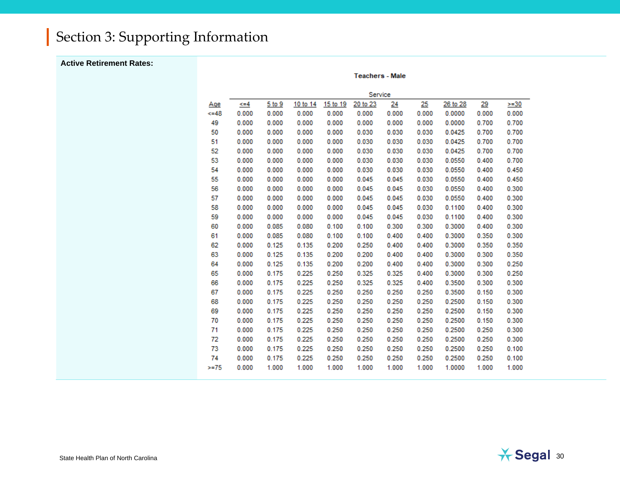#### **Active Retirement Rates:**

**Teachers - Male** 

|        | Service |        |          |          |          |       |            |          |           |        |  |
|--------|---------|--------|----------|----------|----------|-------|------------|----------|-----------|--------|--|
| Age    | <=4     | 5 to 9 | 10 to 14 | 15 to 19 | 20 to 23 | 24    | <u> 25</u> | 26 to 28 | <u>29</u> | $>=30$ |  |
| $<=48$ | 0.000   | 0.000  | 0.000    | 0.000    | 0.000    | 0.000 | 0.000      | 0.0000   | 0.000     | 0.000  |  |
| 49     | 0.000   | 0.000  | 0.000    | 0.000    | 0.000    | 0.000 | 0.000      | 0.0000   | 0.700     | 0.700  |  |
| 50     | 0.000   | 0.000  | 0.000    | 0.000    | 0.030    | 0.030 | 0.030      | 0.0425   | 0.700     | 0.700  |  |
| 51     | 0.000   | 0.000  | 0.000    | 0.000    | 0.030    | 0.030 | 0.030      | 0.0425   | 0.700     | 0.700  |  |
| 52     | 0.000   | 0.000  | 0.000    | 0.000    | 0.030    | 0.030 | 0.030      | 0.0425   | 0.700     | 0.700  |  |
| 53     | 0.000   | 0.000  | 0.000    | 0.000    | 0.030    | 0.030 | 0.030      | 0.0550   | 0.400     | 0.700  |  |
| 54     | 0.000   | 0.000  | 0.000    | 0.000    | 0.030    | 0.030 | 0.030      | 0.0550   | 0.400     | 0.450  |  |
| 55     | 0.000   | 0.000  | 0.000    | 0.000    | 0.045    | 0.045 | 0.030      | 0.0550   | 0.400     | 0.450  |  |
| 56     | 0.000   | 0.000  | 0.000    | 0.000    | 0.045    | 0.045 | 0.030      | 0.0550   | 0.400     | 0.300  |  |
| 57     | 0.000   | 0.000  | 0.000    | 0.000    | 0.045    | 0.045 | 0.030      | 0.0550   | 0.400     | 0.300  |  |
| 58     | 0.000   | 0.000  | 0.000    | 0.000    | 0.045    | 0.045 | 0.030      | 0.1100   | 0.400     | 0.300  |  |
| 59     | 0.000   | 0.000  | 0.000    | 0.000    | 0.045    | 0.045 | 0.030      | 0.1100   | 0.400     | 0.300  |  |
| 60     | 0.000   | 0.085  | 0.080    | 0.100    | 0.100    | 0.300 | 0.300      | 0.3000   | 0.400     | 0.300  |  |
| 61     | 0.000   | 0.085  | 0.080    | 0.100    | 0.100    | 0.400 | 0.400      | 0.3000   | 0.350     | 0.300  |  |
| 62     | 0.000   | 0.125  | 0.135    | 0.200    | 0.250    | 0.400 | 0.400      | 0.3000   | 0.350     | 0.350  |  |
| 63     | 0.000   | 0.125  | 0.135    | 0.200    | 0.200    | 0.400 | 0.400      | 0.3000   | 0.300     | 0.350  |  |
| 64     | 0.000   | 0.125  | 0.135    | 0.200    | 0.200    | 0.400 | 0.400      | 0.3000   | 0.300     | 0.250  |  |
| 65     | 0.000   | 0.175  | 0.225    | 0.250    | 0.325    | 0.325 | 0.400      | 0.3000   | 0.300     | 0.250  |  |
| 66     | 0.000   | 0.175  | 0.225    | 0.250    | 0.325    | 0.325 | 0.400      | 0.3500   | 0.300     | 0.300  |  |
| 67     | 0.000   | 0.175  | 0.225    | 0.250    | 0.250    | 0.250 | 0.250      | 0.3500   | 0.150     | 0.300  |  |
| 68     | 0.000   | 0.175  | 0.225    | 0.250    | 0.250    | 0.250 | 0.250      | 0.2500   | 0.150     | 0.300  |  |
| 69     | 0.000   | 0.175  | 0.225    | 0.250    | 0.250    | 0.250 | 0.250      | 0.2500   | 0.150     | 0.300  |  |
| 70     | 0.000   | 0.175  | 0.225    | 0.250    | 0.250    | 0.250 | 0.250      | 0.2500   | 0.150     | 0.300  |  |
| 71     | 0.000   | 0.175  | 0.225    | 0.250    | 0.250    | 0.250 | 0.250      | 0.2500   | 0.250     | 0.300  |  |
| 72     | 0.000   | 0.175  | 0.225    | 0.250    | 0.250    | 0.250 | 0.250      | 0.2500   | 0.250     | 0.300  |  |
| 73     | 0.000   | 0.175  | 0.225    | 0.250    | 0.250    | 0.250 | 0.250      | 0.2500   | 0.250     | 0.100  |  |
| 74     | 0.000   | 0.175  | 0.225    | 0.250    | 0.250    | 0.250 | 0.250      | 0.2500   | 0.250     | 0.100  |  |
| $>=75$ | 0.000   | 1.000  | 1.000    | 1.000    | 1.000    | 1.000 | 1.000      | 1.0000   | 1.000     | 1.000  |  |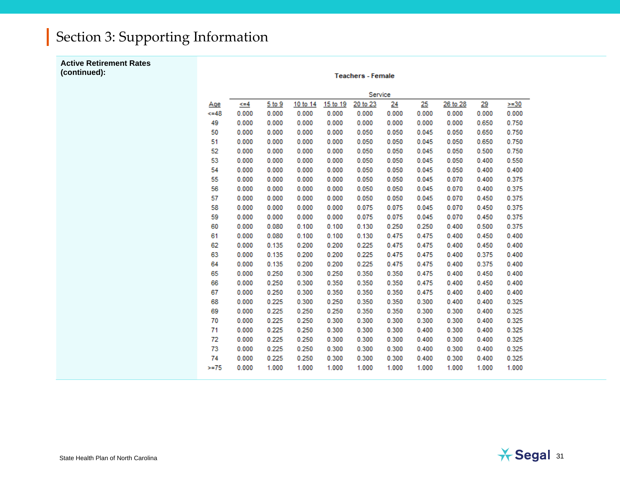**Active Retirement Rates (continued):**

**Teachers - Female** 

|         | Service |        |          |          |          |       |       |          |       |        |  |
|---------|---------|--------|----------|----------|----------|-------|-------|----------|-------|--------|--|
| Age     | <=4     | 5 to 9 | 10 to 14 | 15 to 19 | 20 to 23 | 24    | 25    | 26 to 28 | 29    | $>=30$ |  |
| $<=48$  | 0.000   | 0.000  | 0.000    | 0.000    | 0.000    | 0.000 | 0.000 | 0.000    | 0.000 | 0.000  |  |
| 49      | 0.000   | 0.000  | 0.000    | 0.000    | 0.000    | 0.000 | 0.000 | 0.000    | 0.650 | 0.750  |  |
| 50      | 0.000   | 0.000  | 0.000    | 0.000    | 0.050    | 0.050 | 0.045 | 0.050    | 0.650 | 0.750  |  |
| 51      | 0.000   | 0.000  | 0.000    | 0.000    | 0.050    | 0.050 | 0.045 | 0.050    | 0.650 | 0.750  |  |
| 52      | 0.000   | 0.000  | 0.000    | 0.000    | 0.050    | 0.050 | 0.045 | 0.050    | 0.500 | 0.750  |  |
| 53      | 0.000   | 0.000  | 0.000    | 0.000    | 0.050    | 0.050 | 0.045 | 0.050    | 0.400 | 0.550  |  |
| 54      | 0.000   | 0.000  | 0.000    | 0.000    | 0.050    | 0.050 | 0.045 | 0.050    | 0.400 | 0.400  |  |
| 55      | 0.000   | 0.000  | 0.000    | 0.000    | 0.050    | 0.050 | 0.045 | 0.070    | 0.400 | 0.375  |  |
| 56      | 0.000   | 0.000  | 0.000    | 0.000    | 0.050    | 0.050 | 0.045 | 0.070    | 0.400 | 0.375  |  |
| 57      | 0.000   | 0.000  | 0.000    | 0.000    | 0.050    | 0.050 | 0.045 | 0.070    | 0.450 | 0.375  |  |
| 58      | 0.000   | 0.000  | 0.000    | 0.000    | 0.075    | 0.075 | 0.045 | 0.070    | 0.450 | 0.375  |  |
| 59      | 0.000   | 0.000  | 0.000    | 0.000    | 0.075    | 0.075 | 0.045 | 0.070    | 0.450 | 0.375  |  |
| 60      | 0.000   | 0.080  | 0.100    | 0.100    | 0.130    | 0.250 | 0.250 | 0.400    | 0.500 | 0.375  |  |
| 61      | 0.000   | 0.080  | 0.100    | 0.100    | 0.130    | 0.475 | 0.475 | 0.400    | 0.450 | 0.400  |  |
| 62      | 0.000   | 0.135  | 0.200    | 0.200    | 0.225    | 0.475 | 0.475 | 0.400    | 0.450 | 0.400  |  |
| 63      | 0.000   | 0.135  | 0.200    | 0.200    | 0.225    | 0.475 | 0.475 | 0.400    | 0.375 | 0.400  |  |
| 64      | 0.000   | 0.135  | 0.200    | 0.200    | 0.225    | 0.475 | 0.475 | 0.400    | 0.375 | 0.400  |  |
| 65      | 0.000   | 0.250  | 0.300    | 0.250    | 0.350    | 0.350 | 0.475 | 0.400    | 0.450 | 0.400  |  |
| 66      | 0.000   | 0.250  | 0.300    | 0.350    | 0.350    | 0.350 | 0.475 | 0.400    | 0.450 | 0.400  |  |
| 67      | 0.000   | 0.250  | 0.300    | 0.350    | 0.350    | 0.350 | 0.475 | 0.400    | 0.400 | 0.400  |  |
| 68      | 0.000   | 0.225  | 0.300    | 0.250    | 0.350    | 0.350 | 0.300 | 0.400    | 0.400 | 0.325  |  |
| 69      | 0.000   | 0.225  | 0.250    | 0.250    | 0.350    | 0.350 | 0.300 | 0.300    | 0.400 | 0.325  |  |
| 70      | 0.000   | 0.225  | 0.250    | 0.300    | 0.300    | 0.300 | 0.300 | 0.300    | 0.400 | 0.325  |  |
| 71      | 0.000   | 0.225  | 0.250    | 0.300    | 0.300    | 0.300 | 0.400 | 0.300    | 0.400 | 0.325  |  |
| 72      | 0.000   | 0.225  | 0.250    | 0.300    | 0.300    | 0.300 | 0.400 | 0.300    | 0.400 | 0.325  |  |
| 73      | 0.000   | 0.225  | 0.250    | 0.300    | 0.300    | 0.300 | 0.400 | 0.300    | 0.400 | 0.325  |  |
| 74      | 0.000   | 0.225  | 0.250    | 0.300    | 0.300    | 0.300 | 0.400 | 0.300    | 0.400 | 0.325  |  |
| $>= 75$ | 0.000   | 1.000  | 1.000    | 1.000    | 1.000    | 1.000 | 1.000 | 1.000    | 1.000 | 1.000  |  |

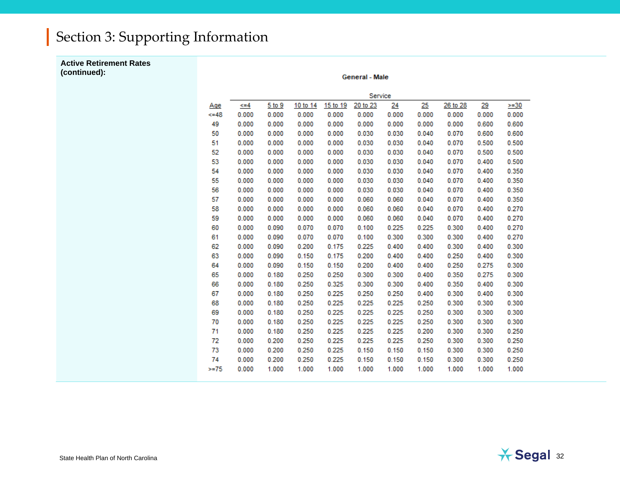**Active Retirement Rates (continued):**

**General - Male** 

|         | Service   |        |          |          |          |       |       |          |       |        |  |
|---------|-----------|--------|----------|----------|----------|-------|-------|----------|-------|--------|--|
| Age     | $\leq$ =4 | 5 to 9 | 10 to 14 | 15 to 19 | 20 to 23 | 24    | 25    | 26 to 28 | 29    | $>=30$ |  |
| 48      | 0.000     | 0.000  | 0.000    | 0.000    | 0.000    | 0.000 | 0.000 | 0.000    | 0.000 | 0.000  |  |
| 49      | 0.000     | 0.000  | 0.000    | 0.000    | 0.000    | 0.000 | 0.000 | 0.000    | 0.600 | 0.600  |  |
| 50      | 0.000     | 0.000  | 0.000    | 0.000    | 0.030    | 0.030 | 0.040 | 0.070    | 0.600 | 0.600  |  |
| 51      | 0.000     | 0.000  | 0.000    | 0.000    | 0.030    | 0.030 | 0.040 | 0.070    | 0.500 | 0.500  |  |
| 52      | 0.000     | 0.000  | 0.000    | 0.000    | 0.030    | 0.030 | 0.040 | 0.070    | 0.500 | 0.500  |  |
| 53      | 0.000     | 0.000  | 0.000    | 0.000    | 0.030    | 0.030 | 0.040 | 0.070    | 0.400 | 0.500  |  |
| 54      | 0.000     | 0.000  | 0.000    | 0.000    | 0.030    | 0.030 | 0.040 | 0.070    | 0.400 | 0.350  |  |
| 55      | 0.000     | 0.000  | 0.000    | 0.000    | 0.030    | 0.030 | 0.040 | 0.070    | 0.400 | 0.350  |  |
| 56      | 0.000     | 0.000  | 0.000    | 0.000    | 0.030    | 0.030 | 0.040 | 0.070    | 0.400 | 0.350  |  |
| 57      | 0.000     | 0.000  | 0.000    | 0.000    | 0.060    | 0.060 | 0.040 | 0.070    | 0.400 | 0.350  |  |
| 58      | 0.000     | 0.000  | 0.000    | 0.000    | 0.060    | 0.060 | 0.040 | 0.070    | 0.400 | 0.270  |  |
| 59      | 0.000     | 0.000  | 0.000    | 0.000    | 0.060    | 0.060 | 0.040 | 0.070    | 0.400 | 0.270  |  |
| 60      | 0.000     | 0.090  | 0.070    | 0.070    | 0.100    | 0.225 | 0.225 | 0.300    | 0.400 | 0.270  |  |
| 61      | 0.000     | 0.090  | 0.070    | 0.070    | 0.100    | 0.300 | 0.300 | 0.300    | 0.400 | 0.270  |  |
| 62      | 0.000     | 0.090  | 0.200    | 0.175    | 0.225    | 0.400 | 0.400 | 0.300    | 0.400 | 0.300  |  |
| 63      | 0.000     | 0.090  | 0.150    | 0.175    | 0.200    | 0.400 | 0.400 | 0.250    | 0.400 | 0.300  |  |
| 64      | 0.000     | 0.090  | 0.150    | 0.150    | 0.200    | 0.400 | 0.400 | 0.250    | 0.275 | 0.300  |  |
| 65      | 0.000     | 0.180  | 0.250    | 0.250    | 0.300    | 0.300 | 0.400 | 0.350    | 0.275 | 0.300  |  |
| 66      | 0.000     | 0.180  | 0.250    | 0.325    | 0.300    | 0.300 | 0.400 | 0.350    | 0.400 | 0.300  |  |
| 67      | 0.000     | 0.180  | 0.250    | 0.225    | 0.250    | 0.250 | 0.400 | 0.300    | 0.400 | 0.300  |  |
| 68      | 0.000     | 0.180  | 0.250    | 0.225    | 0.225    | 0.225 | 0.250 | 0.300    | 0.300 | 0.300  |  |
| 69      | 0.000     | 0.180  | 0.250    | 0.225    | 0.225    | 0.225 | 0.250 | 0.300    | 0.300 | 0.300  |  |
| 70      | 0.000     | 0.180  | 0.250    | 0.225    | 0.225    | 0.225 | 0.250 | 0.300    | 0.300 | 0.300  |  |
| 71      | 0.000     | 0.180  | 0.250    | 0.225    | 0.225    | 0.225 | 0.200 | 0.300    | 0.300 | 0.250  |  |
| 72      | 0.000     | 0.200  | 0.250    | 0.225    | 0.225    | 0.225 | 0.250 | 0.300    | 0.300 | 0.250  |  |
| 73      | 0.000     | 0.200  | 0.250    | 0.225    | 0.150    | 0.150 | 0.150 | 0.300    | 0.300 | 0.250  |  |
| 74      | 0.000     | 0.200  | 0.250    | 0.225    | 0.150    | 0.150 | 0.150 | 0.300    | 0.300 | 0.250  |  |
| $>= 75$ | 0.000     | 1.000  | 1.000    | 1.000    | 1.000    | 1.000 | 1.000 | 1.000    | 1.000 | 1.000  |  |
|         |           |        |          |          |          |       |       |          |       |        |  |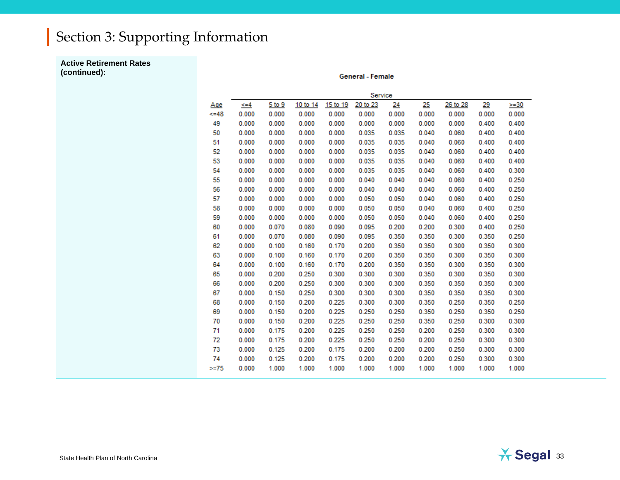**Active Retirement Rates (continued):**

**General - Female** 

|        | Service  |        |          |          |          |       |       |          |           |         |
|--------|----------|--------|----------|----------|----------|-------|-------|----------|-----------|---------|
| Age    | $\leq 4$ | 5 to 9 | 10 to 14 | 15 to 19 | 20 to 23 | 24    | 25    | 26 to 28 | <u>29</u> | $>= 30$ |
| $<=48$ | 0.000    | 0.000  | 0.000    | 0.000    | 0.000    | 0.000 | 0.000 | 0.000    | 0.000     | 0.000   |
| 49     | 0.000    | 0.000  | 0.000    | 0.000    | 0.000    | 0.000 | 0.000 | 0.000    | 0.400     | 0.400   |
| 50     | 0.000    | 0.000  | 0.000    | 0.000    | 0.035    | 0.035 | 0.040 | 0.060    | 0.400     | 0.400   |
| 51     | 0.000    | 0.000  | 0.000    | 0.000    | 0.035    | 0.035 | 0.040 | 0.060    | 0.400     | 0.400   |
| 52     | 0.000    | 0.000  | 0.000    | 0.000    | 0.035    | 0.035 | 0.040 | 0.060    | 0.400     | 0.400   |
| 53     | 0.000    | 0.000  | 0.000    | 0.000    | 0.035    | 0.035 | 0.040 | 0.060    | 0.400     | 0.400   |
| 54     | 0.000    | 0.000  | 0.000    | 0.000    | 0.035    | 0.035 | 0.040 | 0.060    | 0.400     | 0.300   |
| 55     | 0.000    | 0.000  | 0.000    | 0.000    | 0.040    | 0.040 | 0.040 | 0.060    | 0.400     | 0.250   |
| 56     | 0.000    | 0.000  | 0.000    | 0.000    | 0.040    | 0.040 | 0.040 | 0.060    | 0.400     | 0.250   |
| 57     | 0.000    | 0.000  | 0.000    | 0.000    | 0.050    | 0.050 | 0.040 | 0.060    | 0.400     | 0.250   |
| 58     | 0.000    | 0.000  | 0.000    | 0.000    | 0.050    | 0.050 | 0.040 | 0.060    | 0.400     | 0.250   |
| 59     | 0.000    | 0.000  | 0.000    | 0.000    | 0.050    | 0.050 | 0.040 | 0.060    | 0.400     | 0.250   |
| 60     | 0.000    | 0.070  | 0.080    | 0.090    | 0.095    | 0.200 | 0.200 | 0.300    | 0.400     | 0.250   |
| 61     | 0.000    | 0.070  | 0.080    | 0.090    | 0.095    | 0.350 | 0.350 | 0.300    | 0.350     | 0.250   |
| 62     | 0.000    | 0.100  | 0.160    | 0.170    | 0.200    | 0.350 | 0.350 | 0.300    | 0.350     | 0.300   |
| 63     | 0.000    | 0.100  | 0.160    | 0.170    | 0.200    | 0.350 | 0.350 | 0.300    | 0.350     | 0.300   |
| 64     | 0.000    | 0.100  | 0.160    | 0.170    | 0.200    | 0.350 | 0.350 | 0.300    | 0.350     | 0.300   |
| 65     | 0.000    | 0.200  | 0.250    | 0.300    | 0.300    | 0.300 | 0.350 | 0.300    | 0.350     | 0.300   |
| 66     | 0.000    | 0.200  | 0.250    | 0.300    | 0.300    | 0.300 | 0.350 | 0.350    | 0.350     | 0.300   |
| 67     | 0.000    | 0.150  | 0.250    | 0.300    | 0.300    | 0.300 | 0.350 | 0.350    | 0.350     | 0.300   |
| 68     | 0.000    | 0.150  | 0.200    | 0.225    | 0.300    | 0.300 | 0.350 | 0.250    | 0.350     | 0.250   |
| 69     | 0.000    | 0.150  | 0.200    | 0.225    | 0.250    | 0.250 | 0.350 | 0.250    | 0.350     | 0.250   |
| 70     | 0.000    | 0.150  | 0.200    | 0.225    | 0.250    | 0.250 | 0.350 | 0.250    | 0.300     | 0.300   |
| 71     | 0.000    | 0.175  | 0.200    | 0.225    | 0.250    | 0.250 | 0.200 | 0.250    | 0.300     | 0.300   |
| 72     | 0.000    | 0.175  | 0.200    | 0.225    | 0.250    | 0.250 | 0.200 | 0.250    | 0.300     | 0.300   |
| 73     | 0.000    | 0.125  | 0.200    | 0.175    | 0.200    | 0.200 | 0.200 | 0.250    | 0.300     | 0.300   |
| 74     | 0.000    | 0.125  | 0.200    | 0.175    | 0.200    | 0.200 | 0.200 | 0.250    | 0.300     | 0.300   |
| $>=75$ | 0.000    | 1.000  | 1.000    | 1.000    | 1.000    | 1.000 | 1.000 | 1.000    | 1.000     | 1.000   |
|        |          |        |          |          |          |       |       |          |           |         |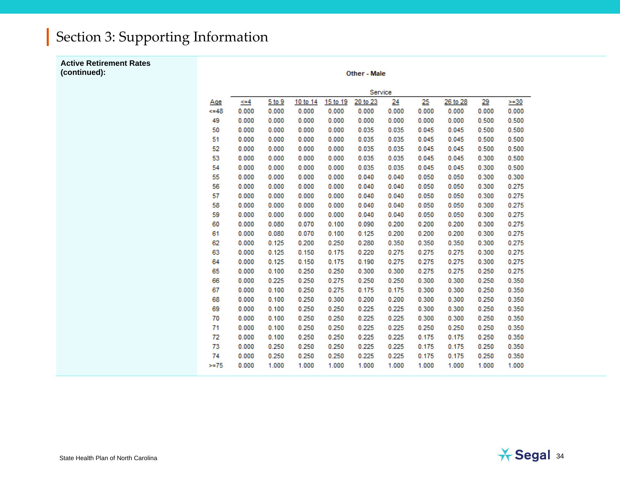**Active Retirement Rates (continued):**

Other - Male

|        |       |        |          |          | Service  |       |       |          |       |        |
|--------|-------|--------|----------|----------|----------|-------|-------|----------|-------|--------|
| Age    | <=4   | 5 to 9 | 10 to 14 | 15 to 19 | 20 to 23 | 24    | 25    | 26 to 28 | 29    | $>=30$ |
| $<=48$ | 0.000 | 0.000  | 0.000    | 0.000    | 0.000    | 0.000 | 0.000 | 0.000    | 0.000 | 0.000  |
| 49     | 0.000 | 0.000  | 0.000    | 0.000    | 0.000    | 0.000 | 0.000 | 0.000    | 0.500 | 0.500  |
| 50     | 0.000 | 0.000  | 0.000    | 0.000    | 0.035    | 0.035 | 0.045 | 0.045    | 0.500 | 0.500  |
| 51     | 0.000 | 0.000  | 0.000    | 0.000    | 0.035    | 0.035 | 0.045 | 0.045    | 0.500 | 0.500  |
| 52     | 0.000 | 0.000  | 0.000    | 0.000    | 0.035    | 0.035 | 0.045 | 0.045    | 0.500 | 0.500  |
| 53     | 0.000 | 0.000  | 0.000    | 0.000    | 0.035    | 0.035 | 0.045 | 0.045    | 0.300 | 0.500  |
| 54     | 0.000 | 0.000  | 0.000    | 0.000    | 0.035    | 0.035 | 0.045 | 0.045    | 0.300 | 0.500  |
| 55     | 0.000 | 0.000  | 0.000    | 0.000    | 0.040    | 0.040 | 0.050 | 0.050    | 0.300 | 0.300  |
| 56     | 0.000 | 0.000  | 0.000    | 0.000    | 0.040    | 0.040 | 0.050 | 0.050    | 0.300 | 0.275  |
| 57     | 0.000 | 0.000  | 0.000    | 0.000    | 0.040    | 0.040 | 0.050 | 0.050    | 0.300 | 0.275  |
| 58     | 0.000 | 0.000  | 0.000    | 0.000    | 0.040    | 0.040 | 0.050 | 0.050    | 0.300 | 0.275  |
| 59     | 0.000 | 0.000  | 0.000    | 0.000    | 0.040    | 0.040 | 0.050 | 0.050    | 0.300 | 0.275  |
| 60     | 0.000 | 0.080  | 0.070    | 0.100    | 0.090    | 0.200 | 0.200 | 0.200    | 0.300 | 0.275  |
| 61     | 0.000 | 0.080  | 0.070    | 0.100    | 0.125    | 0.200 | 0.200 | 0.200    | 0.300 | 0.275  |
| 62     | 0.000 | 0.125  | 0.200    | 0.250    | 0.280    | 0.350 | 0.350 | 0.350    | 0.300 | 0.275  |
| 63     | 0.000 | 0.125  | 0.150    | 0.175    | 0.220    | 0.275 | 0.275 | 0.275    | 0.300 | 0.275  |
| 64     | 0.000 | 0.125  | 0.150    | 0.175    | 0.190    | 0.275 | 0.275 | 0.275    | 0.300 | 0.275  |
| 65     | 0.000 | 0.100  | 0.250    | 0.250    | 0.300    | 0.300 | 0.275 | 0.275    | 0.250 | 0.275  |
| 66     | 0.000 | 0.225  | 0.250    | 0.275    | 0.250    | 0.250 | 0.300 | 0.300    | 0.250 | 0.350  |
| 67     | 0.000 | 0.100  | 0.250    | 0.275    | 0.175    | 0.175 | 0.300 | 0.300    | 0.250 | 0.350  |
| 68     | 0.000 | 0.100  | 0.250    | 0.300    | 0.200    | 0.200 | 0.300 | 0.300    | 0.250 | 0.350  |
| 69     | 0.000 | 0.100  | 0.250    | 0.250    | 0.225    | 0.225 | 0.300 | 0.300    | 0.250 | 0.350  |
| 70     | 0.000 | 0.100  | 0.250    | 0.250    | 0.225    | 0.225 | 0.300 | 0.300    | 0.250 | 0.350  |
| 71     | 0.000 | 0.100  | 0.250    | 0.250    | 0.225    | 0.225 | 0.250 | 0.250    | 0.250 | 0.350  |
| 72     | 0.000 | 0.100  | 0.250    | 0.250    | 0.225    | 0.225 | 0.175 | 0.175    | 0.250 | 0.350  |
| 73     | 0.000 | 0.250  | 0.250    | 0.250    | 0.225    | 0.225 | 0.175 | 0.175    | 0.250 | 0.350  |
| 74     | 0.000 | 0.250  | 0.250    | 0.250    | 0.225    | 0.225 | 0.175 | 0.175    | 0.250 | 0.350  |
| $>=75$ | 0.000 | 1.000  | 1.000    | 1.000    | 1.000    | 1.000 | 1.000 | 1.000    | 1.000 | 1.000  |
|        |       |        |          |          |          |       |       |          |       |        |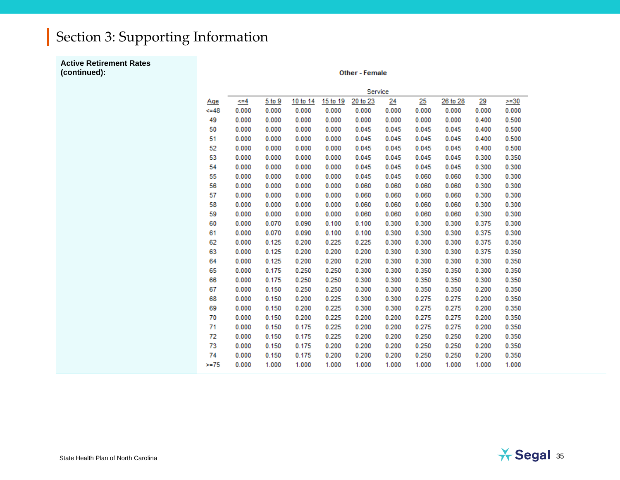#### **Active Retirement Rates (continued):**

Other - Female

|          |           |        |          |          | Service  |       |       |          |       |        |
|----------|-----------|--------|----------|----------|----------|-------|-------|----------|-------|--------|
| Age      | $\xi = 4$ | 5 to 9 | 10 to 14 | 15 to 19 | 20 to 23 | 24    | 25    | 26 to 28 | 29    | $>=30$ |
| $4 - 48$ | 0.000     | 0.000  | 0.000    | 0.000    | 0.000    | 0.000 | 0.000 | 0.000    | 0.000 | 0.000  |
| 49       | 0.000     | 0.000  | 0.000    | 0.000    | 0.000    | 0.000 | 0.000 | 0.000    | 0.400 | 0.500  |
| 50       | 0.000     | 0.000  | 0.000    | 0.000    | 0.045    | 0.045 | 0.045 | 0.045    | 0.400 | 0.500  |
| 51       | 0.000     | 0.000  | 0.000    | 0.000    | 0.045    | 0.045 | 0.045 | 0.045    | 0.400 | 0.500  |
| 52       | 0.000     | 0.000  | 0.000    | 0.000    | 0.045    | 0.045 | 0.045 | 0.045    | 0.400 | 0.500  |
| 53       | 0.000     | 0.000  | 0.000    | 0.000    | 0.045    | 0.045 | 0.045 | 0.045    | 0.300 | 0.350  |
| 54       | 0.000     | 0.000  | 0.000    | 0.000    | 0.045    | 0.045 | 0.045 | 0.045    | 0.300 | 0.300  |
| 55       | 0.000     | 0.000  | 0.000    | 0.000    | 0.045    | 0.045 | 0.060 | 0.060    | 0.300 | 0.300  |
| 56       | 0.000     | 0.000  | 0.000    | 0.000    | 0.060    | 0.060 | 0.060 | 0.060    | 0.300 | 0.300  |
| 57       | 0.000     | 0.000  | 0.000    | 0.000    | 0.060    | 0.060 | 0.060 | 0.060    | 0.300 | 0.300  |
| 58       | 0.000     | 0.000  | 0.000    | 0.000    | 0.060    | 0.060 | 0.060 | 0.060    | 0.300 | 0.300  |
| 59       | 0.000     | 0.000  | 0.000    | 0.000    | 0.060    | 0.060 | 0.060 | 0.060    | 0.300 | 0.300  |
| 60       | 0.000     | 0.070  | 0.090    | 0.100    | 0.100    | 0.300 | 0.300 | 0.300    | 0.375 | 0.300  |
| 61       | 0.000     | 0.070  | 0.090    | 0.100    | 0.100    | 0.300 | 0.300 | 0.300    | 0.375 | 0.300  |
| 62       | 0.000     | 0.125  | 0.200    | 0.225    | 0.225    | 0.300 | 0.300 | 0.300    | 0.375 | 0.350  |
| 63       | 0.000     | 0.125  | 0.200    | 0.200    | 0.200    | 0.300 | 0.300 | 0.300    | 0.375 | 0.350  |
| 64       | 0.000     | 0.125  | 0.200    | 0.200    | 0.200    | 0.300 | 0.300 | 0.300    | 0.300 | 0.350  |
| 65       | 0.000     | 0.175  | 0.250    | 0.250    | 0.300    | 0.300 | 0.350 | 0.350    | 0.300 | 0.350  |
| 66       | 0.000     | 0.175  | 0.250    | 0.250    | 0.300    | 0.300 | 0.350 | 0.350    | 0.300 | 0.350  |
| 67       | 0.000     | 0.150  | 0.250    | 0.250    | 0.300    | 0.300 | 0.350 | 0.350    | 0.200 | 0.350  |
| 68       | 0.000     | 0.150  | 0.200    | 0.225    | 0.300    | 0.300 | 0.275 | 0.275    | 0.200 | 0.350  |
| 69       | 0.000     | 0.150  | 0.200    | 0.225    | 0.300    | 0.300 | 0.275 | 0.275    | 0.200 | 0.350  |
| 70       | 0.000     | 0.150  | 0.200    | 0.225    | 0.200    | 0.200 | 0.275 | 0.275    | 0.200 | 0.350  |
| 71       | 0.000     | 0.150  | 0.175    | 0.225    | 0.200    | 0.200 | 0.275 | 0.275    | 0.200 | 0.350  |
| 72       | 0.000     | 0.150  | 0.175    | 0.225    | 0.200    | 0.200 | 0.250 | 0.250    | 0.200 | 0.350  |
| 73       | 0.000     | 0.150  | 0.175    | 0.200    | 0.200    | 0.200 | 0.250 | 0.250    | 0.200 | 0.350  |
| 74       | 0.000     | 0.150  | 0.175    | 0.200    | 0.200    | 0.200 | 0.250 | 0.250    | 0.200 | 0.350  |
| $>= 75$  | 0.000     | 1.000  | 1.000    | 1.000    | 1.000    | 1.000 | 1.000 | 1.000    | 1.000 | 1.000  |
|          |           |        |          |          |          |       |       |          |       |        |

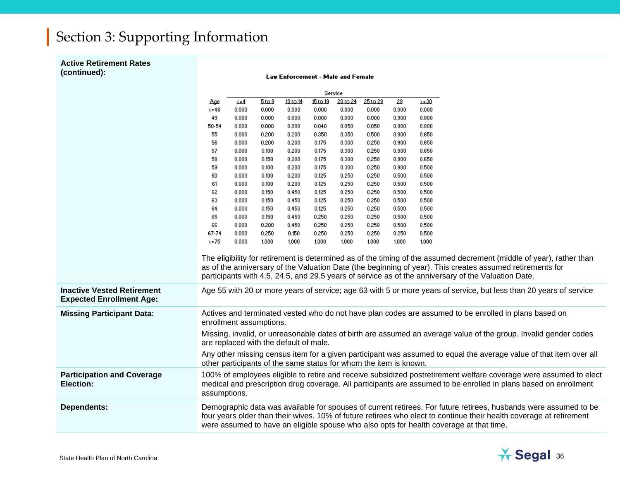#### **Active Retirement Rates (continued):**

**Law Enforcement - Male and Female** 

|                                                                      | Service          |                                                                                                                                                                                                                                                                                                                                    |        |          |          |          |                                                                   |       |                                                                                                                                                                                                                                                                                                                                          |  |
|----------------------------------------------------------------------|------------------|------------------------------------------------------------------------------------------------------------------------------------------------------------------------------------------------------------------------------------------------------------------------------------------------------------------------------------|--------|----------|----------|----------|-------------------------------------------------------------------|-------|------------------------------------------------------------------------------------------------------------------------------------------------------------------------------------------------------------------------------------------------------------------------------------------------------------------------------------------|--|
|                                                                      |                  | ≜≡ک                                                                                                                                                                                                                                                                                                                                | 5 to 9 | 10 to 14 | 15 to 19 | 20 to 24 | 25 to 28                                                          | 29    | $> = 30$                                                                                                                                                                                                                                                                                                                                 |  |
|                                                                      | Age<br>$\leq 48$ | 0.000                                                                                                                                                                                                                                                                                                                              | 0.000  | 0.000    | 0.000    | 0.000    | 0.000                                                             | 0.000 | 0.000                                                                                                                                                                                                                                                                                                                                    |  |
|                                                                      | 49               | 0.000                                                                                                                                                                                                                                                                                                                              | 0.000  | 0.000    | 0.000    | 0.000    | 0.000                                                             | 0.900 | 0.800                                                                                                                                                                                                                                                                                                                                    |  |
|                                                                      | 50-54            | 0.000                                                                                                                                                                                                                                                                                                                              | 0.000  | 0.000    | 0.040    | 0.050    | 0.050                                                             | 0.900 | 0.800                                                                                                                                                                                                                                                                                                                                    |  |
|                                                                      | 55               | 0.000                                                                                                                                                                                                                                                                                                                              | 0.200  | 0.200    | 0.350    | 0.350    | 0.500                                                             | 0.900 | 0.650                                                                                                                                                                                                                                                                                                                                    |  |
|                                                                      | 56               | 0.000                                                                                                                                                                                                                                                                                                                              | 0.200  | 0.200    | 0.175    | 0.300    | 0.250                                                             | 0.900 | 0.650                                                                                                                                                                                                                                                                                                                                    |  |
|                                                                      | 57               | 0.000                                                                                                                                                                                                                                                                                                                              | 0.100  | 0.200    | 0.175    | 0.300    | 0.250                                                             | 0.900 | 0.650                                                                                                                                                                                                                                                                                                                                    |  |
|                                                                      | 58               | 0.000                                                                                                                                                                                                                                                                                                                              | 0.150  | 0.200    | 0.175    | 0.300    | 0.250                                                             | 0.900 | 0.650                                                                                                                                                                                                                                                                                                                                    |  |
|                                                                      | 59               | 0.000                                                                                                                                                                                                                                                                                                                              | 0.100  | 0.200    | 0.175    | 0.300    | 0.250                                                             | 0.900 | 0.500                                                                                                                                                                                                                                                                                                                                    |  |
|                                                                      | 60               | 0.000                                                                                                                                                                                                                                                                                                                              | 0.100  | 0.200    | 0.125    | 0.250    | 0.250                                                             | 0.500 | 0.500                                                                                                                                                                                                                                                                                                                                    |  |
|                                                                      | 61               | 0.000                                                                                                                                                                                                                                                                                                                              | 0.100  | 0.200    | 0.125    | 0.250    | 0.250                                                             | 0.500 | 0.500                                                                                                                                                                                                                                                                                                                                    |  |
|                                                                      | 62               | 0.000                                                                                                                                                                                                                                                                                                                              | 0.150  | 0.450    | 0.125    | 0.250    | 0.250                                                             | 0.500 | 0.500                                                                                                                                                                                                                                                                                                                                    |  |
|                                                                      | 63               | 0.000                                                                                                                                                                                                                                                                                                                              | 0.150  | 0.450    | 0.125    | 0.250    | 0.250                                                             | 0.500 | 0.500                                                                                                                                                                                                                                                                                                                                    |  |
|                                                                      | 64               | 0.000                                                                                                                                                                                                                                                                                                                              | 0.150  | 0.450    | 0.125    | 0.250    | 0.250                                                             | 0.500 | 0.500                                                                                                                                                                                                                                                                                                                                    |  |
|                                                                      | 65               | 0.000                                                                                                                                                                                                                                                                                                                              | 0.150  | 0.450    | 0.250    | 0.250    | 0.250                                                             | 0.500 | 0.500                                                                                                                                                                                                                                                                                                                                    |  |
|                                                                      | 66               | 0.000                                                                                                                                                                                                                                                                                                                              | 0.200  | 0.450    | 0.250    | 0.250    | 0.250                                                             | 0.500 | 0.500                                                                                                                                                                                                                                                                                                                                    |  |
|                                                                      | 67-74            | 0.000                                                                                                                                                                                                                                                                                                                              | 0.250  | 0.150    | 0.250    | 0.250    | 0.250                                                             | 0.250 | 0.500                                                                                                                                                                                                                                                                                                                                    |  |
|                                                                      | $>= 75$          | 0.000                                                                                                                                                                                                                                                                                                                              | 1.000  | 1.000    | 1.000    | 1.000    | 1.000                                                             | 1.000 | 1.000                                                                                                                                                                                                                                                                                                                                    |  |
|                                                                      |                  |                                                                                                                                                                                                                                                                                                                                    |        |          |          |          |                                                                   |       | The eligibility for retirement is determined as of the timing of the assumed decrement (middle of year), rather than<br>as of the anniversary of the Valuation Date (the beginning of year). This creates assumed retirements for<br>participants with 4.5, 24.5, and 29.5 years of service as of the anniversary of the Valuation Date. |  |
| <b>Inactive Vested Retirement</b><br><b>Expected Enrollment Age:</b> |                  |                                                                                                                                                                                                                                                                                                                                    |        |          |          |          |                                                                   |       | Age 55 with 20 or more years of service; age 63 with 5 or more years of service, but less than 20 years of service                                                                                                                                                                                                                       |  |
| <b>Missing Participant Data:</b>                                     |                  | enrollment assumptions.                                                                                                                                                                                                                                                                                                            |        |          |          |          |                                                                   |       | Actives and terminated vested who do not have plan codes are assumed to be enrolled in plans based on                                                                                                                                                                                                                                    |  |
|                                                                      |                  | are replaced with the default of male.                                                                                                                                                                                                                                                                                             |        |          |          |          |                                                                   |       | Missing, invalid, or unreasonable dates of birth are assumed an average value of the group. Invalid gender codes                                                                                                                                                                                                                         |  |
|                                                                      |                  |                                                                                                                                                                                                                                                                                                                                    |        |          |          |          | other participants of the same status for whom the item is known. |       | Any other missing census item for a given participant was assumed to equal the average value of that item over all                                                                                                                                                                                                                       |  |
| <b>Participation and Coverage</b><br>Election:                       | assumptions.     |                                                                                                                                                                                                                                                                                                                                    |        |          |          |          |                                                                   |       | 100% of employees eligible to retire and receive subsidized postretirement welfare coverage were assumed to elect<br>medical and prescription drug coverage. All participants are assumed to be enrolled in plans based on enrollment                                                                                                    |  |
| <b>Dependents:</b>                                                   |                  | Demographic data was available for spouses of current retirees. For future retirees, husbands were assumed to be<br>four years older than their wives. 10% of future retirees who elect to continue their health coverage at retirement<br>were assumed to have an eligible spouse who also opts for health coverage at that time. |        |          |          |          |                                                                   |       |                                                                                                                                                                                                                                                                                                                                          |  |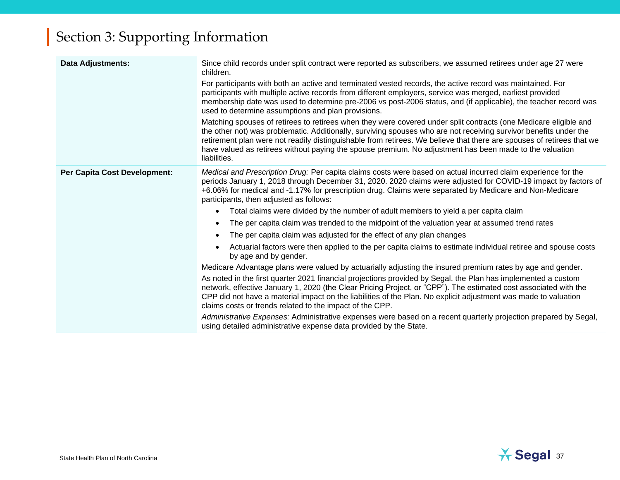| <b>Data Adjustments:</b>     | Since child records under split contract were reported as subscribers, we assumed retirees under age 27 were<br>children.                                                                                                                                                                                                                                                                                                                                                                 |  |  |  |  |  |
|------------------------------|-------------------------------------------------------------------------------------------------------------------------------------------------------------------------------------------------------------------------------------------------------------------------------------------------------------------------------------------------------------------------------------------------------------------------------------------------------------------------------------------|--|--|--|--|--|
|                              | For participants with both an active and terminated vested records, the active record was maintained. For<br>participants with multiple active records from different employers, service was merged, earliest provided<br>membership date was used to determine pre-2006 vs post-2006 status, and (if applicable), the teacher record was<br>used to determine assumptions and plan provisions.                                                                                           |  |  |  |  |  |
|                              | Matching spouses of retirees to retirees when they were covered under split contracts (one Medicare eligible and<br>the other not) was problematic. Additionally, surviving spouses who are not receiving survivor benefits under the<br>retirement plan were not readily distinguishable from retirees. We believe that there are spouses of retirees that we<br>have valued as retirees without paying the spouse premium. No adjustment has been made to the valuation<br>liabilities. |  |  |  |  |  |
| Per Capita Cost Development: | Medical and Prescription Drug: Per capita claims costs were based on actual incurred claim experience for the<br>periods January 1, 2018 through December 31, 2020. 2020 claims were adjusted for COVID-19 impact by factors of<br>+6.06% for medical and -1.17% for prescription drug. Claims were separated by Medicare and Non-Medicare<br>participants, then adjusted as follows:                                                                                                     |  |  |  |  |  |
|                              | Total claims were divided by the number of adult members to yield a per capita claim                                                                                                                                                                                                                                                                                                                                                                                                      |  |  |  |  |  |
|                              | The per capita claim was trended to the midpoint of the valuation year at assumed trend rates                                                                                                                                                                                                                                                                                                                                                                                             |  |  |  |  |  |
|                              | The per capita claim was adjusted for the effect of any plan changes                                                                                                                                                                                                                                                                                                                                                                                                                      |  |  |  |  |  |
|                              | Actuarial factors were then applied to the per capita claims to estimate individual retiree and spouse costs<br>by age and by gender.                                                                                                                                                                                                                                                                                                                                                     |  |  |  |  |  |
|                              | Medicare Advantage plans were valued by actuarially adjusting the insured premium rates by age and gender.                                                                                                                                                                                                                                                                                                                                                                                |  |  |  |  |  |
|                              | As noted in the first quarter 2021 financial projections provided by Segal, the Plan has implemented a custom<br>network, effective January 1, 2020 (the Clear Pricing Project, or "CPP"). The estimated cost associated with the<br>CPP did not have a material impact on the liabilities of the Plan. No explicit adjustment was made to valuation<br>claims costs or trends related to the impact of the CPP.                                                                          |  |  |  |  |  |
|                              | Administrative Expenses: Administrative expenses were based on a recent quarterly projection prepared by Segal,<br>using detailed administrative expense data provided by the State.                                                                                                                                                                                                                                                                                                      |  |  |  |  |  |

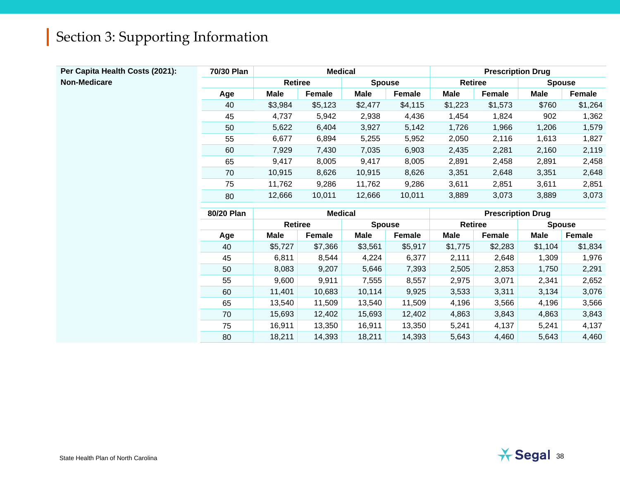| Per Capita Health Costs (2021): | 70/30 Plan |                | <b>Medical</b> |               |               | <b>Prescription Drug</b> |                          |               |         |
|---------------------------------|------------|----------------|----------------|---------------|---------------|--------------------------|--------------------------|---------------|---------|
| Non-Medicare                    |            | <b>Retiree</b> |                | <b>Spouse</b> |               | <b>Retiree</b>           |                          | <b>Spouse</b> |         |
|                                 | Age        | <b>Male</b>    | Female         | <b>Male</b>   | <b>Female</b> | <b>Male</b>              | Female                   | <b>Male</b>   | Female  |
|                                 | 40         | \$3,984        | \$5,123        | \$2,477       | \$4,115       | \$1,223                  | \$1,573                  | \$760         | \$1,264 |
|                                 | 45         | 4,737          | 5,942          | 2,938         | 4,436         | 1,454                    | 1,824                    | 902           | 1,362   |
|                                 | 50         | 5,622          | 6,404          | 3,927         | 5,142         | 1,726                    | 1,966                    | 1,206         | 1,579   |
|                                 | 55         | 6,677          | 6,894          | 5,255         | 5,952         | 2,050                    | 2,116                    | 1,613         | 1,827   |
|                                 | 60         | 7,929          | 7,430          | 7,035         | 6,903         | 2,435                    | 2,281                    | 2,160         | 2,119   |
|                                 | 65         | 9,417          | 8,005          | 9,417         | 8,005         | 2,891                    | 2,458                    | 2,891         | 2,458   |
|                                 | 70         | 10,915         | 8,626          | 10,915        | 8,626         | 3,351                    | 2,648                    | 3,351         | 2,648   |
|                                 | 75         | 11,762         | 9,286          | 11,762        | 9,286         | 3,611                    | 2,851                    | 3,611         | 2,851   |
|                                 | 80         | 12,666         | 10,011         | 12,666        | 10,011        | 3,889                    | 3,073                    | 3,889         | 3,073   |
|                                 |            |                |                |               |               |                          |                          |               |         |
|                                 | 80/20 Plan |                | <b>Medical</b> |               |               |                          | <b>Prescription Drug</b> |               |         |
|                                 |            | <b>Retiree</b> |                | <b>Spouse</b> |               | <b>Retiree</b>           |                          | <b>Spouse</b> |         |
|                                 | Age        | <b>Male</b>    | Female         | <b>Male</b>   | Female        | <b>Male</b>              | Female                   | <b>Male</b>   | Female  |
|                                 | 40         | \$5,727        | \$7,366        | \$3,561       | \$5,917       | \$1,775                  | \$2,283                  | \$1,104       | \$1,834 |
|                                 | 45         | 6,811          | 8,544          | 4,224         | 6,377         | 2,111                    | 2,648                    | 1,309         | 1,976   |
|                                 | 50         | 8,083          | 9,207          | 5,646         | 7,393         | 2,505                    | 2,853                    | 1,750         | 2,291   |
|                                 | 55         | 9,600          | 9,911          | 7,555         | 8,557         | 2,975                    | 3,071                    | 2,341         | 2,652   |
|                                 | 60         | 11,401         | 10,683         | 10,114        | 9,925         | 3,533                    | 3,311                    | 3,134         | 3,076   |
|                                 | 65         | 13,540         | 11,509         | 13,540        | 11,509        | 4,196                    | 3,566                    | 4,196         | 3,566   |
|                                 | 70         | 15,693         | 12,402         | 15,693        | 12,402        | 4,863                    | 3,843                    | 4,863         | 3,843   |
|                                 | 75         | 16,911         | 13,350         | 16,911        | 13,350        | 5,241                    | 4,137                    | 5,241         | 4,137   |
|                                 |            |                |                |               |               |                          |                          |               |         |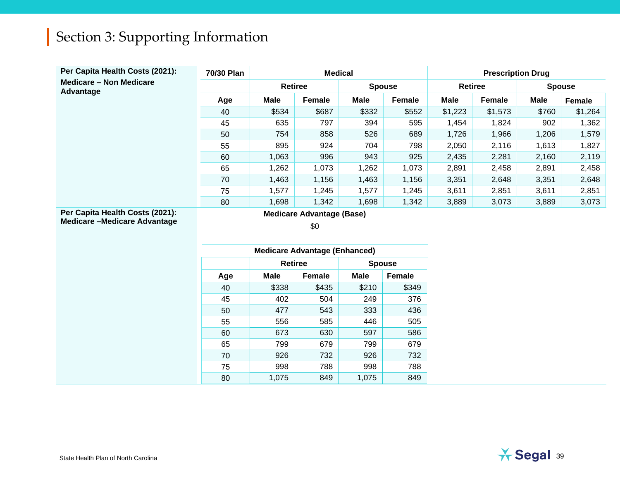| Per Capita Health Costs (2021):             | 70/30 Plan |                | <b>Medical</b>                       |             |               | <b>Prescription Drug</b> |         |             |               |
|---------------------------------------------|------------|----------------|--------------------------------------|-------------|---------------|--------------------------|---------|-------------|---------------|
| <b>Medicare - Non Medicare</b><br>Advantage |            | <b>Retiree</b> |                                      |             | <b>Spouse</b> | <b>Retiree</b>           |         |             | <b>Spouse</b> |
|                                             | Age        | <b>Male</b>    | Female                               | <b>Male</b> | Female        | <b>Male</b>              | Female  | <b>Male</b> | Female        |
|                                             | 40         | \$534          | \$687                                | \$332       | \$552         | \$1,223                  | \$1,573 | \$760       | \$1,264       |
|                                             | 45         | 635            | 797                                  | 394         | 595           | 1,454                    | 1,824   | 902         | 1,362         |
|                                             | 50         | 754            | 858                                  | 526         | 689           | 1,726                    | 1,966   | 1,206       | 1,579         |
|                                             | 55         | 895            | 924                                  | 704         | 798           | 2,050                    | 2,116   | 1,613       | 1,827         |
|                                             | 60         | 1,063          | 996                                  | 943         | 925           | 2,435                    | 2,281   | 2,160       | 2,119         |
|                                             | 65         | 1,262          | 1,073                                | 1,262       | 1,073         | 2,891                    | 2,458   | 2,891       | 2,458         |
|                                             | 70         | 1,463          | 1,156                                | 1,463       | 1,156         | 3,351                    | 2,648   | 3,351       | 2,648         |
|                                             | 75         | 1,577          | 1,245                                | 1,577       | 1,245         | 3,611                    | 2,851   | 3,611       | 2,851         |
|                                             | 80         | 1,698          | 1,342                                | 1,698       | 1,342         | 3,889                    | 3,073   | 3,889       | 3,073         |
| Per Capita Health Costs (2021):             |            |                | <b>Medicare Advantage (Base)</b>     |             |               |                          |         |             |               |
| <b>Medicare-Medicare Advantage</b>          |            |                | \$0                                  |             |               |                          |         |             |               |
|                                             |            |                |                                      |             |               |                          |         |             |               |
|                                             |            |                | <b>Medicare Advantage (Enhanced)</b> |             |               |                          |         |             |               |
|                                             |            | <b>Retiree</b> |                                      |             | <b>Spouse</b> |                          |         |             |               |
|                                             | Age        | <b>Male</b>    | Female                               | <b>Male</b> | Female        |                          |         |             |               |
|                                             | 40         | \$338          | \$435                                | \$210       | \$349         |                          |         |             |               |
|                                             | 45         | 402            | 504                                  | 249         | 376           |                          |         |             |               |
|                                             | 50         | 477            | 543                                  | 333         | 436           |                          |         |             |               |
|                                             | 55         | 556            | 585                                  | 446         | 505           |                          |         |             |               |
|                                             | 60         | 673            | 630                                  | 597         | 586           |                          |         |             |               |
|                                             | 65         | 799            | 679                                  | 799         | 679           |                          |         |             |               |
|                                             | 70         | 926            | 732                                  | 926         | 732           |                          |         |             |               |
|                                             | 75         | 998            | 788                                  | 998         | 788           |                          |         |             |               |
|                                             | 80         | 1,075          | 849                                  | 1,075       | 849           |                          |         |             |               |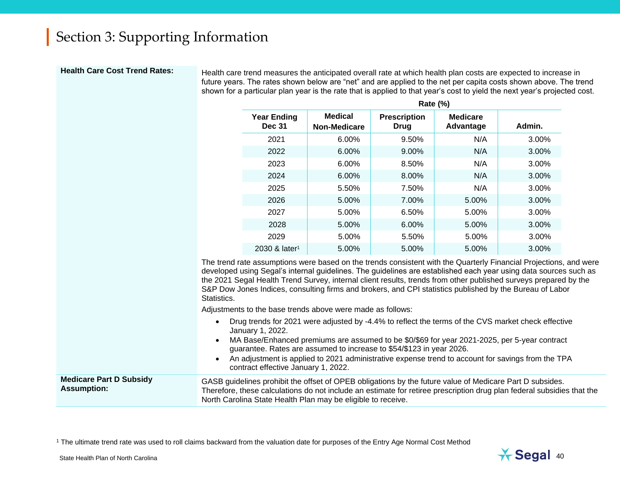Health Care Cost Trend Rates:<br>Health Care Cost Trend Rates:<br>In Health Care Cost Trend Rates: future years. The rates shown below are "net" and are applied to the net per capita costs shown above. The trend shown for a particular plan year is the rate that is applied to that year's cost to yield the next year's projected cost.

|                                     |                                       | <b>Rate (%)</b>             |                              |        |
|-------------------------------------|---------------------------------------|-----------------------------|------------------------------|--------|
| <b>Year Ending</b><br><b>Dec 31</b> | <b>Medical</b><br><b>Non-Medicare</b> | <b>Prescription</b><br>Drug | <b>Medicare</b><br>Advantage | Admin. |
| 2021                                | $6.00\%$                              | 9.50%                       | N/A                          | 3.00%  |
| 2022                                | 6.00%                                 | 9.00%                       | N/A                          | 3.00%  |
| 2023                                | 6.00%                                 | 8.50%                       | N/A                          | 3.00%  |
| 2024                                | 6.00%                                 | 8.00%                       | N/A                          | 3.00%  |
| 2025                                | 5.50%                                 | 7.50%                       | N/A                          | 3.00%  |
| 2026                                | 5.00%                                 | 7.00%                       | 5.00%                        | 3.00%  |
| 2027                                | 5.00%                                 | 6.50%                       | 5.00%                        | 3.00%  |
| 2028                                | 5.00%                                 | 6.00%                       | 5.00%                        | 3.00%  |
| 2029                                | 5.00%                                 | 5.50%                       | 5.00%                        | 3.00%  |
| 2030 & later <sup>1</sup>           | 5.00%                                 | 5.00%                       | 5.00%                        | 3.00%  |

The trend rate assumptions were based on the trends consistent with the Quarterly Financial Projections, and were developed using Segal's internal guidelines. The guidelines are established each year using data sources such as the 2021 Segal Health Trend Survey, internal client results, trends from other published surveys prepared by the S&P Dow Jones Indices, consulting firms and brokers, and CPI statistics published by the Bureau of Labor Statistics.

Adjustments to the base trends above were made as follows:

- Drug trends for 2021 were adjusted by -4.4% to reflect the terms of the CVS market check effective January 1, 2022.
- MA Base/Enhanced premiums are assumed to be \$0/\$69 for year 2021-2025, per 5-year contract guarantee. Rates are assumed to increase to \$54/\$123 in year 2026.
- An adjustment is applied to 2021 administrative expense trend to account for savings from the TPA contract effective January 1, 2022.

#### **Medicare Part D Subsidy Assumption:** GASB guidelines prohibit the offset of OPEB obligations by the future value of Medicare Part D subsides. Therefore, these calculations do not include an estimate for retiree prescription drug plan federal subsidies that the North Carolina State Health Plan may be eligible to receive.

<sup>1</sup> The ultimate trend rate was used to roll claims backward from the valuation date for purposes of the Entry Age Normal Cost Method

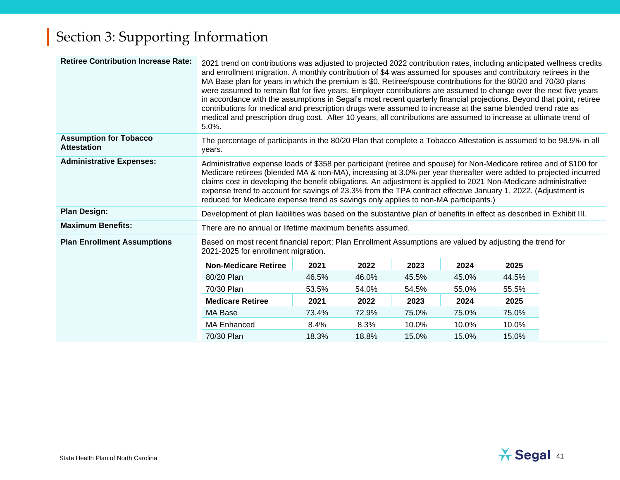| <b>Retiree Contribution Increase Rate:</b>          | 2021 trend on contributions was adjusted to projected 2022 contribution rates, including anticipated wellness credits<br>and enrollment migration. A monthly contribution of \$4 was assumed for spouses and contributory retirees in the<br>MA Base plan for years in which the premium is \$0. Retiree/spouse contributions for the 80/20 and 70/30 plans<br>were assumed to remain flat for five years. Employer contributions are assumed to change over the next five years<br>in accordance with the assumptions in Segal's most recent quarterly financial projections. Beyond that point, retiree<br>contributions for medical and prescription drugs were assumed to increase at the same blended trend rate as<br>medical and prescription drug cost. After 10 years, all contributions are assumed to increase at ultimate trend of<br>5.0%. |                                                                                                                                                 |       |       |       |       |  |  |  |
|-----------------------------------------------------|---------------------------------------------------------------------------------------------------------------------------------------------------------------------------------------------------------------------------------------------------------------------------------------------------------------------------------------------------------------------------------------------------------------------------------------------------------------------------------------------------------------------------------------------------------------------------------------------------------------------------------------------------------------------------------------------------------------------------------------------------------------------------------------------------------------------------------------------------------|-------------------------------------------------------------------------------------------------------------------------------------------------|-------|-------|-------|-------|--|--|--|
| <b>Assumption for Tobacco</b><br><b>Attestation</b> | years.                                                                                                                                                                                                                                                                                                                                                                                                                                                                                                                                                                                                                                                                                                                                                                                                                                                  | The percentage of participants in the 80/20 Plan that complete a Tobacco Attestation is assumed to be 98.5% in all                              |       |       |       |       |  |  |  |
| <b>Administrative Expenses:</b>                     | Administrative expense loads of \$358 per participant (retiree and spouse) for Non-Medicare retiree and of \$100 for<br>Medicare retirees (blended MA & non-MA), increasing at 3.0% per year thereafter were added to projected incurred<br>claims cost in developing the benefit obligations. An adjustment is applied to 2021 Non-Medicare administrative<br>expense trend to account for savings of 23.3% from the TPA contract effective January 1, 2022. (Adjustment is<br>reduced for Medicare expense trend as savings only applies to non-MA participants.)                                                                                                                                                                                                                                                                                     |                                                                                                                                                 |       |       |       |       |  |  |  |
| <b>Plan Design:</b>                                 |                                                                                                                                                                                                                                                                                                                                                                                                                                                                                                                                                                                                                                                                                                                                                                                                                                                         | Development of plan liabilities was based on the substantive plan of benefits in effect as described in Exhibit III.                            |       |       |       |       |  |  |  |
| <b>Maximum Benefits:</b>                            | There are no annual or lifetime maximum benefits assumed.                                                                                                                                                                                                                                                                                                                                                                                                                                                                                                                                                                                                                                                                                                                                                                                               |                                                                                                                                                 |       |       |       |       |  |  |  |
| <b>Plan Enrollment Assumptions</b>                  |                                                                                                                                                                                                                                                                                                                                                                                                                                                                                                                                                                                                                                                                                                                                                                                                                                                         | Based on most recent financial report: Plan Enrollment Assumptions are valued by adjusting the trend for<br>2021-2025 for enrollment migration. |       |       |       |       |  |  |  |
|                                                     | <b>Non-Medicare Retiree</b>                                                                                                                                                                                                                                                                                                                                                                                                                                                                                                                                                                                                                                                                                                                                                                                                                             | 2021                                                                                                                                            | 2022  | 2023  | 2024  | 2025  |  |  |  |
|                                                     | 80/20 Plan                                                                                                                                                                                                                                                                                                                                                                                                                                                                                                                                                                                                                                                                                                                                                                                                                                              | 46.5%                                                                                                                                           | 46.0% | 45.5% | 45.0% | 44.5% |  |  |  |
|                                                     | 70/30 Plan                                                                                                                                                                                                                                                                                                                                                                                                                                                                                                                                                                                                                                                                                                                                                                                                                                              | 53.5%                                                                                                                                           | 54.0% | 54.5% | 55.0% | 55.5% |  |  |  |
|                                                     | <b>Medicare Retiree</b>                                                                                                                                                                                                                                                                                                                                                                                                                                                                                                                                                                                                                                                                                                                                                                                                                                 | 2021                                                                                                                                            | 2022  | 2023  | 2024  | 2025  |  |  |  |
|                                                     | MA Base                                                                                                                                                                                                                                                                                                                                                                                                                                                                                                                                                                                                                                                                                                                                                                                                                                                 | 73.4%                                                                                                                                           | 72.9% | 75.0% | 75.0% | 75.0% |  |  |  |
|                                                     | <b>MA Enhanced</b>                                                                                                                                                                                                                                                                                                                                                                                                                                                                                                                                                                                                                                                                                                                                                                                                                                      | 8.4%                                                                                                                                            | 8.3%  | 10.0% | 10.0% | 10.0% |  |  |  |
|                                                     | 70/30 Plan                                                                                                                                                                                                                                                                                                                                                                                                                                                                                                                                                                                                                                                                                                                                                                                                                                              | 18.3%                                                                                                                                           | 18.8% | 15.0% | 15.0% | 15.0% |  |  |  |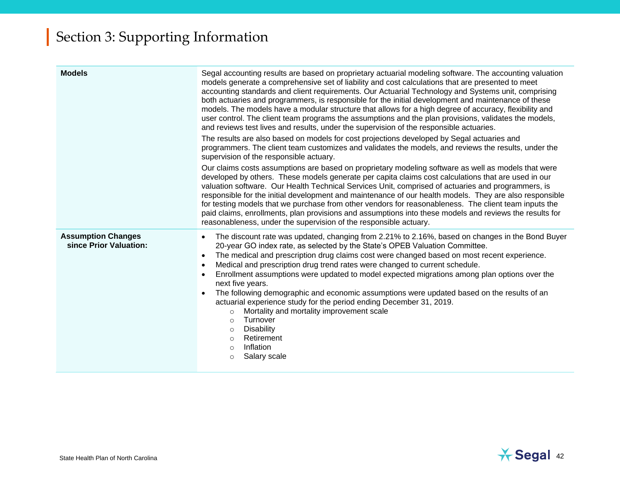| <b>Models</b>                                       | Segal accounting results are based on proprietary actuarial modeling software. The accounting valuation<br>models generate a comprehensive set of liability and cost calculations that are presented to meet<br>accounting standards and client requirements. Our Actuarial Technology and Systems unit, comprising<br>both actuaries and programmers, is responsible for the initial development and maintenance of these<br>models. The models have a modular structure that allows for a high degree of accuracy, flexibility and<br>user control. The client team programs the assumptions and the plan provisions, validates the models,<br>and reviews test lives and results, under the supervision of the responsible actuaries.<br>The results are also based on models for cost projections developed by Segal actuaries and<br>programmers. The client team customizes and validates the models, and reviews the results, under the<br>supervision of the responsible actuary.<br>Our claims costs assumptions are based on proprietary modeling software as well as models that were<br>developed by others. These models generate per capita claims cost calculations that are used in our<br>valuation software. Our Health Technical Services Unit, comprised of actuaries and programmers, is<br>responsible for the initial development and maintenance of our health models. They are also responsible<br>for testing models that we purchase from other vendors for reasonableness. The client team inputs the<br>paid claims, enrollments, plan provisions and assumptions into these models and reviews the results for<br>reasonableness, under the supervision of the responsible actuary. |
|-----------------------------------------------------|-------------------------------------------------------------------------------------------------------------------------------------------------------------------------------------------------------------------------------------------------------------------------------------------------------------------------------------------------------------------------------------------------------------------------------------------------------------------------------------------------------------------------------------------------------------------------------------------------------------------------------------------------------------------------------------------------------------------------------------------------------------------------------------------------------------------------------------------------------------------------------------------------------------------------------------------------------------------------------------------------------------------------------------------------------------------------------------------------------------------------------------------------------------------------------------------------------------------------------------------------------------------------------------------------------------------------------------------------------------------------------------------------------------------------------------------------------------------------------------------------------------------------------------------------------------------------------------------------------------------------------------------------------------------------------------------------------------------|
| <b>Assumption Changes</b><br>since Prior Valuation: | The discount rate was updated, changing from 2.21% to 2.16%, based on changes in the Bond Buyer<br>$\bullet$<br>20-year GO index rate, as selected by the State's OPEB Valuation Committee.<br>The medical and prescription drug claims cost were changed based on most recent experience.<br>$\bullet$<br>Medical and prescription drug trend rates were changed to current schedule.<br>$\bullet$<br>Enrollment assumptions were updated to model expected migrations among plan options over the<br>next five years.<br>The following demographic and economic assumptions were updated based on the results of an<br>actuarial experience study for the period ending December 31, 2019.<br>Mortality and mortality improvement scale<br>$\circ$<br>Turnover<br>$\circ$<br><b>Disability</b><br>$\circ$<br>Retirement<br>$\circ$<br>Inflation<br>$\circ$<br>Salary scale<br>$\circ$                                                                                                                                                                                                                                                                                                                                                                                                                                                                                                                                                                                                                                                                                                                                                                                                                           |

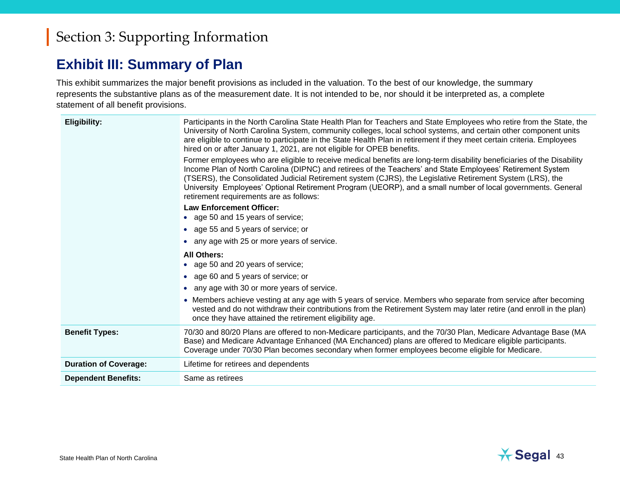### **Exhibit III: Summary of Plan**

This exhibit summarizes the major benefit provisions as included in the valuation. To the best of our knowledge, the summary represents the substantive plans as of the measurement date. It is not intended to be, nor should it be interpreted as, a complete statement of all benefit provisions.

| <b>Eligibility:</b>          | Participants in the North Carolina State Health Plan for Teachers and State Employees who retire from the State, the<br>University of North Carolina System, community colleges, local school systems, and certain other component units<br>are eligible to continue to participate in the State Health Plan in retirement if they meet certain criteria. Employees<br>hired on or after January 1, 2021, are not eligible for OPEB benefits.<br>Former employees who are eligible to receive medical benefits are long-term disability beneficiaries of the Disability<br>Income Plan of North Carolina (DIPNC) and retirees of the Teachers' and State Employees' Retirement System<br>(TSERS), the Consolidated Judicial Retirement system (CJRS), the Legislative Retirement System (LRS), the<br>University Employees' Optional Retirement Program (UEORP), and a small number of local governments. General |
|------------------------------|-------------------------------------------------------------------------------------------------------------------------------------------------------------------------------------------------------------------------------------------------------------------------------------------------------------------------------------------------------------------------------------------------------------------------------------------------------------------------------------------------------------------------------------------------------------------------------------------------------------------------------------------------------------------------------------------------------------------------------------------------------------------------------------------------------------------------------------------------------------------------------------------------------------------|
|                              | retirement requirements are as follows:<br><b>Law Enforcement Officer:</b>                                                                                                                                                                                                                                                                                                                                                                                                                                                                                                                                                                                                                                                                                                                                                                                                                                        |
|                              | age 50 and 15 years of service;                                                                                                                                                                                                                                                                                                                                                                                                                                                                                                                                                                                                                                                                                                                                                                                                                                                                                   |
|                              | • age 55 and 5 years of service; or                                                                                                                                                                                                                                                                                                                                                                                                                                                                                                                                                                                                                                                                                                                                                                                                                                                                               |
|                              | any age with 25 or more years of service.                                                                                                                                                                                                                                                                                                                                                                                                                                                                                                                                                                                                                                                                                                                                                                                                                                                                         |
|                              | <b>All Others:</b><br>age 50 and 20 years of service;                                                                                                                                                                                                                                                                                                                                                                                                                                                                                                                                                                                                                                                                                                                                                                                                                                                             |
|                              | • age 60 and 5 years of service; or                                                                                                                                                                                                                                                                                                                                                                                                                                                                                                                                                                                                                                                                                                                                                                                                                                                                               |
|                              | any age with 30 or more years of service.                                                                                                                                                                                                                                                                                                                                                                                                                                                                                                                                                                                                                                                                                                                                                                                                                                                                         |
|                              | • Members achieve vesting at any age with 5 years of service. Members who separate from service after becoming<br>vested and do not withdraw their contributions from the Retirement System may later retire (and enroll in the plan)<br>once they have attained the retirement eligibility age.                                                                                                                                                                                                                                                                                                                                                                                                                                                                                                                                                                                                                  |
| <b>Benefit Types:</b>        | 70/30 and 80/20 Plans are offered to non-Medicare participants, and the 70/30 Plan, Medicare Advantage Base (MA<br>Base) and Medicare Advantage Enhanced (MA Enchanced) plans are offered to Medicare eligible participants.<br>Coverage under 70/30 Plan becomes secondary when former employees become eligible for Medicare.                                                                                                                                                                                                                                                                                                                                                                                                                                                                                                                                                                                   |
| <b>Duration of Coverage:</b> | Lifetime for retirees and dependents                                                                                                                                                                                                                                                                                                                                                                                                                                                                                                                                                                                                                                                                                                                                                                                                                                                                              |
| <b>Dependent Benefits:</b>   | Same as retirees                                                                                                                                                                                                                                                                                                                                                                                                                                                                                                                                                                                                                                                                                                                                                                                                                                                                                                  |
|                              |                                                                                                                                                                                                                                                                                                                                                                                                                                                                                                                                                                                                                                                                                                                                                                                                                                                                                                                   |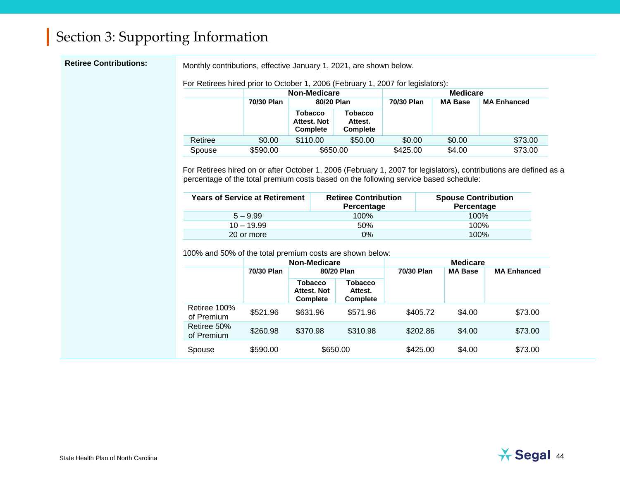Retiree Contributions: Monthly contributions, effective January 1, 2021, are shown below.

For Retirees hired prior to October 1, 2006 (February 1, 2007 for legislators):

|         |            | <b>Non-Medicare</b>                              |                                              | <b>Medicare</b> |                |                    |  |
|---------|------------|--------------------------------------------------|----------------------------------------------|-----------------|----------------|--------------------|--|
|         | 70/30 Plan | 80/20 Plan                                       |                                              | 70/30 Plan      | <b>MA Base</b> | <b>MA Enhanced</b> |  |
|         |            | <b>Tobacco</b><br>Attest. Not<br><b>Complete</b> | <b>Tobacco</b><br>Attest.<br><b>Complete</b> |                 |                |                    |  |
| Retiree | \$0.00     | \$110.00                                         | \$50.00                                      | \$0.00          | \$0.00         | \$73.00            |  |
| Spouse  | \$590.00   | \$650.00                                         |                                              | \$425.00        | \$4.00         | \$73.00            |  |

For Retirees hired on or after October 1, 2006 (February 1, 2007 for legislators), contributions are defined as a percentage of the total premium costs based on the following service based schedule:

| <b>Years of Service at Retirement</b> | <b>Retiree Contribution</b><br>Percentage | <b>Spouse Contribution</b><br>Percentage |
|---------------------------------------|-------------------------------------------|------------------------------------------|
| $5 - 9.99$                            | 100%                                      | 100%                                     |
| $10 - 19.99$                          | 50%                                       | 100%                                     |
| 20 or more                            | $0\%$                                     | 100%                                     |

100% and 50% of the total premium costs are shown below:

|                            | <b>Non-Medicare</b> |                                                  | <b>Medicare</b>                              |            |                |                    |
|----------------------------|---------------------|--------------------------------------------------|----------------------------------------------|------------|----------------|--------------------|
|                            | 70/30 Plan          | 80/20 Plan                                       |                                              | 70/30 Plan | <b>MA Base</b> | <b>MA Enhanced</b> |
|                            |                     | <b>Tobacco</b><br>Attest. Not<br><b>Complete</b> | <b>Tobacco</b><br>Attest.<br><b>Complete</b> |            |                |                    |
| Retiree 100%<br>of Premium | \$521.96            | \$631.96                                         | \$571.96                                     | \$405.72   | \$4.00         | \$73.00            |
| Retiree 50%<br>of Premium  | \$260.98            | \$370.98                                         | \$310.98                                     | \$202.86   | \$4.00         | \$73.00            |
| Spouse                     | \$590.00            | \$650.00                                         |                                              | \$425.00   | \$4.00         | \$73.00            |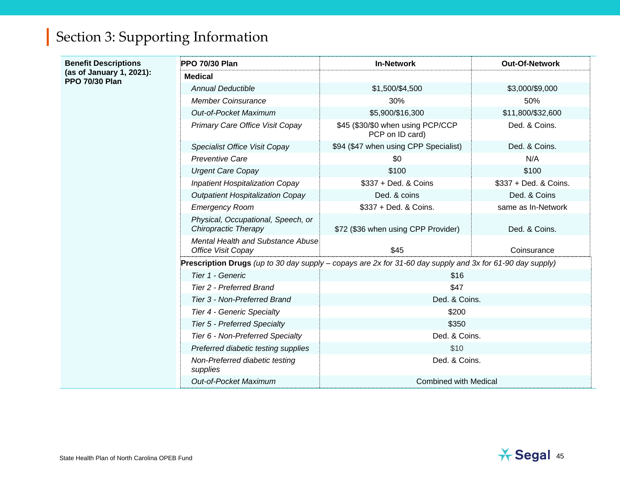| <b>Benefit Descriptions</b><br>(as of January 1, 2021):<br><b>PPO 70/30 Plan</b> | <b>PPO 70/30 Plan</b>                                                                                     | <b>In-Network</b>                                    | <b>Out-Of-Network</b> |  |  |
|----------------------------------------------------------------------------------|-----------------------------------------------------------------------------------------------------------|------------------------------------------------------|-----------------------|--|--|
|                                                                                  | <b>Medical</b>                                                                                            |                                                      |                       |  |  |
|                                                                                  | <b>Annual Deductible</b>                                                                                  | \$1,500/\$4,500                                      | \$3,000/\$9,000       |  |  |
|                                                                                  | <b>Member Coinsurance</b>                                                                                 | 30%                                                  | 50%                   |  |  |
|                                                                                  | Out-of-Pocket Maximum                                                                                     | \$5,900/\$16,300                                     | \$11,800/\$32,600     |  |  |
|                                                                                  | Primary Care Office Visit Copay                                                                           | \$45 (\$30/\$0 when using PCP/CCP<br>PCP on ID card) | Ded. & Coins.         |  |  |
|                                                                                  | Specialist Office Visit Copay                                                                             | \$94 (\$47 when using CPP Specialist)                | Ded. & Coins.         |  |  |
|                                                                                  | <b>Preventive Care</b>                                                                                    | \$0                                                  | N/A                   |  |  |
|                                                                                  | <b>Urgent Care Copay</b>                                                                                  | \$100                                                | \$100                 |  |  |
|                                                                                  | <b>Inpatient Hospitalization Copay</b>                                                                    | \$337 + Ded. & Coins                                 | \$337 + Ded. & Coins. |  |  |
|                                                                                  | <b>Outpatient Hospitalization Copay</b>                                                                   | Ded. & coins                                         | Ded. & Coins          |  |  |
|                                                                                  | <b>Emergency Room</b>                                                                                     | \$337 + Ded. & Coins.                                | same as In-Network    |  |  |
|                                                                                  | Physical, Occupational, Speech, or<br><b>Chiropractic Therapy</b>                                         | \$72 (\$36 when using CPP Provider)                  | Ded. & Coins.         |  |  |
|                                                                                  | Mental Health and Substance Abuse<br><b>Office Visit Copay</b>                                            | \$45                                                 | Coinsurance           |  |  |
|                                                                                  | Prescription Drugs (up to 30 day supply - copays are 2x for 31-60 day supply and 3x for 61-90 day supply) |                                                      |                       |  |  |
|                                                                                  | Tier 1 - Generic                                                                                          | \$16                                                 |                       |  |  |
|                                                                                  | <b>Tier 2 - Preferred Brand</b>                                                                           | \$47                                                 |                       |  |  |
|                                                                                  | Tier 3 - Non-Preferred Brand                                                                              | Ded. & Coins.                                        |                       |  |  |
|                                                                                  | Tier 4 - Generic Specialty                                                                                | \$200                                                |                       |  |  |
|                                                                                  | <b>Tier 5 - Preferred Specialty</b>                                                                       | \$350                                                |                       |  |  |
|                                                                                  | Tier 6 - Non-Preferred Specialty                                                                          | Ded. & Coins.                                        |                       |  |  |
|                                                                                  | Preferred diabetic testing supplies                                                                       | \$10                                                 |                       |  |  |
|                                                                                  | Non-Preferred diabetic testing<br>supplies                                                                | Ded. & Coins.                                        |                       |  |  |
|                                                                                  | <b>Out-of-Pocket Maximum</b>                                                                              | <b>Combined with Medical</b>                         |                       |  |  |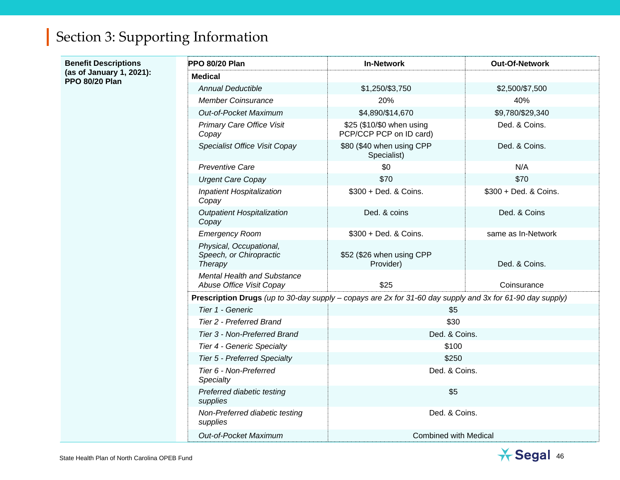| <b>Benefit Descriptions</b><br>(as of January 1, 2021):<br><b>PPO 80/20 Plan</b> | PPO 80/20 Plan                                                                                            | <b>In-Network</b>                                    | Out-Of-Network        |  |  |
|----------------------------------------------------------------------------------|-----------------------------------------------------------------------------------------------------------|------------------------------------------------------|-----------------------|--|--|
|                                                                                  | <b>Medical</b>                                                                                            |                                                      |                       |  |  |
|                                                                                  | <b>Annual Deductible</b>                                                                                  | \$1,250/\$3,750                                      | \$2,500/\$7,500       |  |  |
|                                                                                  | <b>Member Coinsurance</b>                                                                                 | 20%                                                  | 40%                   |  |  |
|                                                                                  | Out-of-Pocket Maximum                                                                                     | \$4,890/\$14,670                                     | \$9,780/\$29,340      |  |  |
|                                                                                  | <b>Primary Care Office Visit</b><br>Copay                                                                 | \$25 (\$10/\$0 when using<br>PCP/CCP PCP on ID card) | Ded. & Coins.         |  |  |
|                                                                                  | Specialist Office Visit Copay                                                                             | \$80 (\$40 when using CPP<br>Specialist)             | Ded. & Coins.         |  |  |
|                                                                                  | <b>Preventive Care</b>                                                                                    | \$0                                                  | N/A                   |  |  |
|                                                                                  | <b>Urgent Care Copay</b>                                                                                  | \$70                                                 | \$70                  |  |  |
|                                                                                  | Inpatient Hospitalization<br>Copay                                                                        | \$300 + Ded. & Coins.                                | \$300 + Ded. & Coins. |  |  |
|                                                                                  | <b>Outpatient Hospitalization</b><br>Copay                                                                | Ded. & coins                                         | Ded. & Coins          |  |  |
|                                                                                  | <b>Emergency Room</b>                                                                                     | \$300 + Ded. & Coins.                                | same as In-Network    |  |  |
|                                                                                  | Physical, Occupational,<br>Speech, or Chiropractic<br>Therapy                                             | \$52 (\$26 when using CPP<br>Provider)               | Ded. & Coins.         |  |  |
|                                                                                  | Mental Health and Substance<br>Abuse Office Visit Copay                                                   | \$25                                                 | Coinsurance           |  |  |
|                                                                                  | Prescription Drugs (up to 30-day supply – copays are 2x for 31-60 day supply and 3x for 61-90 day supply) |                                                      |                       |  |  |
|                                                                                  | Tier 1 - Generic<br>\$5                                                                                   |                                                      |                       |  |  |
|                                                                                  | Tier 2 - Preferred Brand                                                                                  | \$30                                                 |                       |  |  |
|                                                                                  | Tier 3 - Non-Preferred Brand                                                                              |                                                      | Ded. & Coins.         |  |  |
|                                                                                  | \$100<br>Tier 4 - Generic Specialty                                                                       |                                                      |                       |  |  |
|                                                                                  | <b>Tier 5 - Preferred Specialty</b>                                                                       | \$250                                                |                       |  |  |
|                                                                                  | Tier 6 - Non-Preferred<br>Specialty                                                                       | Ded. & Coins.                                        |                       |  |  |
|                                                                                  | Preferred diabetic testing<br>supplies                                                                    | \$5                                                  |                       |  |  |
|                                                                                  | Non-Preferred diabetic testing<br>supplies                                                                | Ded. & Coins.                                        |                       |  |  |
|                                                                                  | <b>Out-of-Pocket Maximum</b>                                                                              | <b>Combined with Medical</b>                         |                       |  |  |

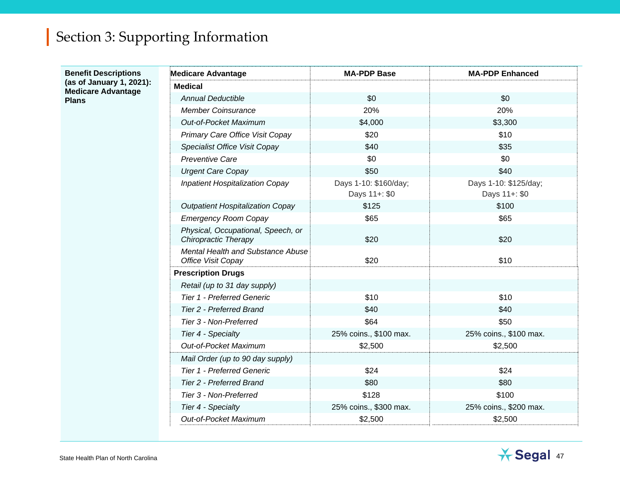#### **Benefit Descriptions (as of January 1, 2021): Medicare Advantage Plans**

| <b>Medicare Advantage</b>                                         | <b>MA-PDP Base</b>                     | <b>MA-PDP Enhanced</b>                 |
|-------------------------------------------------------------------|----------------------------------------|----------------------------------------|
| <b>Medical</b>                                                    |                                        |                                        |
| <b>Annual Deductible</b>                                          | \$0                                    | \$0                                    |
| <b>Member Coinsurance</b>                                         | 20%                                    | 20%                                    |
| Out-of-Pocket Maximum                                             | \$4,000                                | \$3,300                                |
| Primary Care Office Visit Copay                                   | \$20                                   | \$10                                   |
| Specialist Office Visit Copay                                     | \$40                                   | \$35                                   |
| <b>Preventive Care</b>                                            | \$0                                    | \$0                                    |
| <b>Urgent Care Copay</b>                                          | \$50                                   | \$40                                   |
| <b>Inpatient Hospitalization Copay</b>                            | Days 1-10: \$160/day;<br>Days 11+: \$0 | Days 1-10: \$125/day;<br>Days 11+: \$0 |
| <b>Outpatient Hospitalization Copay</b>                           | \$125                                  | \$100                                  |
| <b>Emergency Room Copay</b>                                       | \$65                                   | \$65                                   |
| Physical, Occupational, Speech, or<br><b>Chiropractic Therapy</b> | \$20                                   | \$20                                   |
| Mental Health and Substance Abuse<br><b>Office Visit Copay</b>    | \$20                                   | \$10                                   |
| <b>Prescription Drugs</b>                                         |                                        |                                        |
| Retail (up to 31 day supply)                                      |                                        |                                        |
| <b>Tier 1 - Preferred Generic</b>                                 | \$10                                   | \$10                                   |
| <b>Tier 2 - Preferred Brand</b>                                   | \$40                                   | \$40                                   |
| Tier 3 - Non-Preferred                                            | \$64                                   | \$50                                   |
| Tier 4 - Specialty                                                | 25% coins., \$100 max.                 | 25% coins., \$100 max.                 |
| <b>Out-of-Pocket Maximum</b>                                      | \$2,500                                | \$2,500                                |
| Mail Order (up to 90 day supply)                                  |                                        |                                        |
| <b>Tier 1 - Preferred Generic</b>                                 | \$24                                   | \$24                                   |
| Tier 2 - Preferred Brand                                          | \$80                                   | \$80                                   |
| Tier 3 - Non-Preferred                                            | \$128                                  | \$100                                  |
| Tier 4 - Specialty                                                | 25% coins., \$300 max.                 | 25% coins., \$200 max.                 |
| <b>Out-of-Pocket Maximum</b>                                      | \$2,500                                | \$2,500                                |

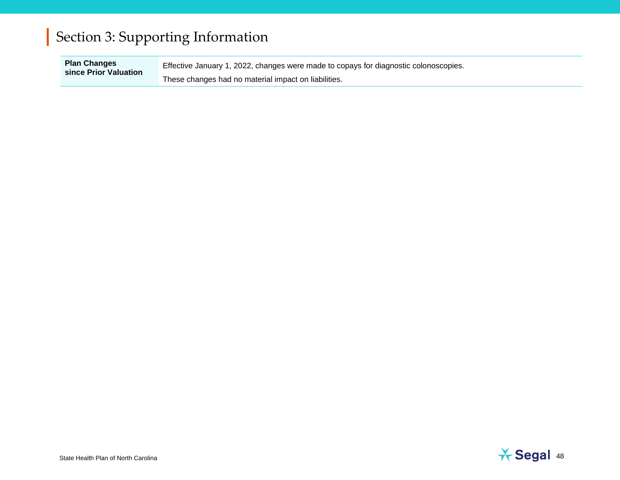**Plan Changes since Prior Valuation** Effective January 1, 2022, changes were made to copays for diagnostic colonoscopies. These changes had no material impact on liabilities.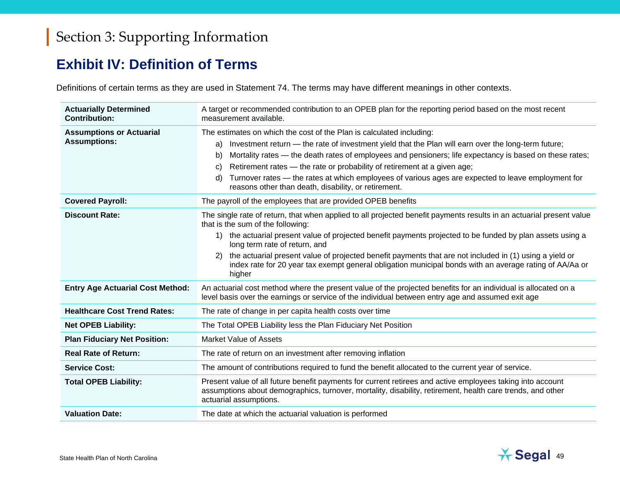### **Exhibit IV: Definition of Terms**

Definitions of certain terms as they are used in Statement 74. The terms may have different meanings in other contexts.

| <b>Actuarially Determined</b><br><b>Contribution:</b>  | A target or recommended contribution to an OPEB plan for the reporting period based on the most recent<br>measurement available.                                                                                                                                                                                                                                                                                                                                                                                                                         |  |
|--------------------------------------------------------|----------------------------------------------------------------------------------------------------------------------------------------------------------------------------------------------------------------------------------------------------------------------------------------------------------------------------------------------------------------------------------------------------------------------------------------------------------------------------------------------------------------------------------------------------------|--|
| <b>Assumptions or Actuarial</b><br><b>Assumptions:</b> | The estimates on which the cost of the Plan is calculated including:<br>Investment return - the rate of investment yield that the Plan will earn over the long-term future;<br>a)<br>Mortality rates — the death rates of employees and pensioners; life expectancy is based on these rates;<br>b)<br>Retirement rates — the rate or probability of retirement at a given age;<br>C)<br>Turnover rates — the rates at which employees of various ages are expected to leave employment for<br>d)<br>reasons other than death, disability, or retirement. |  |
| <b>Covered Payroll:</b>                                | The payroll of the employees that are provided OPEB benefits                                                                                                                                                                                                                                                                                                                                                                                                                                                                                             |  |
| <b>Discount Rate:</b>                                  | The single rate of return, that when applied to all projected benefit payments results in an actuarial present value<br>that is the sum of the following:                                                                                                                                                                                                                                                                                                                                                                                                |  |
|                                                        | the actuarial present value of projected benefit payments projected to be funded by plan assets using a<br>1)<br>long term rate of return, and                                                                                                                                                                                                                                                                                                                                                                                                           |  |
|                                                        | the actuarial present value of projected benefit payments that are not included in (1) using a yield or<br>(2)<br>index rate for 20 year tax exempt general obligation municipal bonds with an average rating of AA/Aa or<br>higher                                                                                                                                                                                                                                                                                                                      |  |
| <b>Entry Age Actuarial Cost Method:</b>                | An actuarial cost method where the present value of the projected benefits for an individual is allocated on a<br>level basis over the earnings or service of the individual between entry age and assumed exit age                                                                                                                                                                                                                                                                                                                                      |  |
| <b>Healthcare Cost Trend Rates:</b>                    | The rate of change in per capita health costs over time                                                                                                                                                                                                                                                                                                                                                                                                                                                                                                  |  |
| <b>Net OPEB Liability:</b>                             | The Total OPEB Liability less the Plan Fiduciary Net Position                                                                                                                                                                                                                                                                                                                                                                                                                                                                                            |  |
| <b>Plan Fiduciary Net Position:</b>                    | <b>Market Value of Assets</b>                                                                                                                                                                                                                                                                                                                                                                                                                                                                                                                            |  |
| <b>Real Rate of Return:</b>                            | The rate of return on an investment after removing inflation                                                                                                                                                                                                                                                                                                                                                                                                                                                                                             |  |
| <b>Service Cost:</b>                                   | The amount of contributions required to fund the benefit allocated to the current year of service.                                                                                                                                                                                                                                                                                                                                                                                                                                                       |  |
| <b>Total OPEB Liability:</b>                           | Present value of all future benefit payments for current retirees and active employees taking into account<br>assumptions about demographics, turnover, mortality, disability, retirement, health care trends, and other<br>actuarial assumptions.                                                                                                                                                                                                                                                                                                       |  |
| <b>Valuation Date:</b>                                 | The date at which the actuarial valuation is performed                                                                                                                                                                                                                                                                                                                                                                                                                                                                                                   |  |